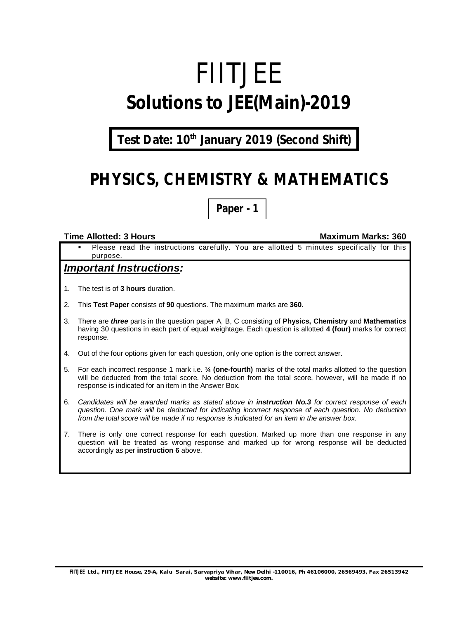# FIITJEE **Solutions to JEE(Main)-2019**

### **Test Date: 10th January 2019 (Second Shift)**

# **PHYSICS, CHEMISTRY & MATHEMATICS**

**Paper - 1**

#### **Time Allotted: 3 Hours Maximum Marks: 360**

 Please read the instructions carefully. You are allotted 5 minutes specifically for this purpose.

#### *Important Instructions:*

- 1. The test is of **3 hours** duration.
- 2. This **Test Paper** consists of **90** questions. The maximum marks are **360**.
- 3. There are *three* parts in the question paper A, B, C consisting of **Physics, Chemistry** and **Mathematics** having 30 questions in each part of equal weightage. Each question is allotted **4 (four)** marks for correct response.
- 4. Out of the four options given for each question, only one option is the correct answer.
- 5. For each incorrect response 1 mark i.e. **¼ (one-fourth)** marks of the total marks allotted to the question will be deducted from the total score. No deduction from the total score, however, will be made if no response is indicated for an item in the Answer Box.
- 6. *Candidates will be awarded marks as stated above in instruction No.3 for correct response of each question. One mark will be deducted for indicating incorrect response of each question. No deduction from the total score will be made if no response is indicated for an item in the answer box.*
- 7. There is only one correct response for each question. Marked up more than one response in any question will be treated as wrong response and marked up for wrong response will be deducted accordingly as per **instruction 6** above.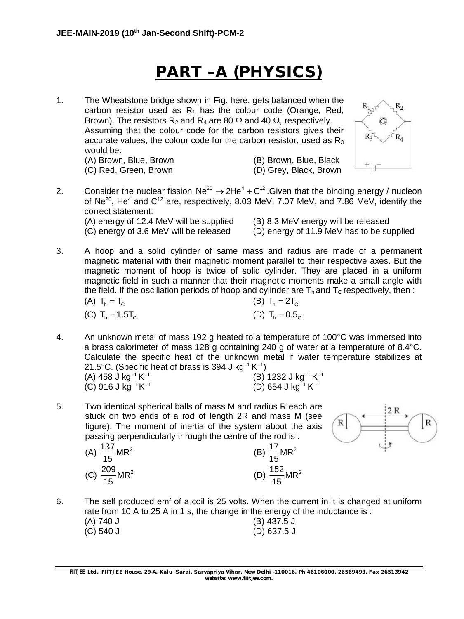# **PART –A (PHYSICS)**

1. The Wheatstone bridge shown in Fig. here, gets balanced when the carbon resistor used as  $R_1$  has the colour code (Orange, Red, Brown). The resistors R<sub>2</sub> and R<sub>4</sub> are 80  $\Omega$  and 40  $\Omega$ , respectively. Assuming that the colour code for the carbon resistors gives their accurate values, the colour code for the carbon resistor, used as  $R_3$ would be:

(C) Red, Green, Brown (D) Grey, Black, Brown

(A) Brown, Blue, Brown (B) Brown, Blue, Black



2. Consider the nuclear fission  $Ne^{20} \rightarrow 2He^{4} + C^{12}$ . Given that the binding energy / nucleon of  $Ne^{20}$ , He<sup>4</sup> and  $C^{12}$  are, respectively, 8.03 MeV, 7.07 MeV, and 7.86 MeV, identify the correct statement: (A) energy of 12.4 MeV will be supplied (B) 8.3 MeV energy will be released

(C) energy of 3.6 MeV will be released (D) energy of 11.9 MeV has to be supplied

3. A hoop and a solid cylinder of same mass and radius are made of a permanent magnetic material with their magnetic moment parallel to their respective axes. But the magnetic moment of hoop is twice of solid cylinder. They are placed in a uniform magnetic field in such a manner that their magnetic moments make a small angle with the field. If the oscillation periods of hoop and cylinder are  $T_h$  and  $T_c$  respectively, then :

| (A) $T_h = T_c$    | (B) $T_h = 2T_c$  |
|--------------------|-------------------|
| (C) $T_h = 1.5T_c$ | (D) $T_h = 0.5_C$ |

4. An unknown metal of mass 192 g heated to a temperature of 100°C was immersed into a brass calorimeter of mass 128 g containing 240 g of water at a temperature of 8.4°C. Calculate the specific heat of the unknown metal if water temperature stabilizes at 21.5°C. (Specific heat of brass is 394 J kg<sup>-1</sup> K<sup>-1</sup>)

| (A) 458 J kg <sup>-1</sup> K <sup>-1</sup> |  | (B) 1232 J kg <sup>-1</sup> K <sup>-1</sup> |
|--------------------------------------------|--|---------------------------------------------|
| (C) 916 J kg <sup>-1</sup> K <sup>-1</sup> |  | (D) 654 J kg <sup>-1</sup> K <sup>-1</sup>  |

5. Two identical spherical balls of mass M and radius R each are stuck on two ends of a rod of length 2R and mass M (see figure). The moment of inertia of the system about the axis passing perpendicularly through the centre of the rod is :

(A) 
$$
\frac{137}{15}
$$
MR<sup>2</sup>  
(C)  $\frac{209}{15}$ MR<sup>2</sup>





6. The self produced emf of a coil is 25 volts. When the current in it is changed at uniform rate from 10 A to 25 A in 1 s, the change in the energy of the inductance is :<br>(A)  $740$  J  $(B)$  437.5 J

| $\sim$ $\sim$ $\sim$ $\sim$ | $\sim$ $\sim$ $\sim$ $\sim$ |
|-----------------------------|-----------------------------|
| (C) 540 J                   | $(D)$ 637.5 J               |

**FIITJEE** *Ltd., FIITJEE House, 29-A, Kalu Sarai, Sarvapriya Vihar, New Delhi -110016, Ph 46106000, 26569493, Fax 26513942 website: [www.fiitjee.com.](http://www.fiitjee.com.)*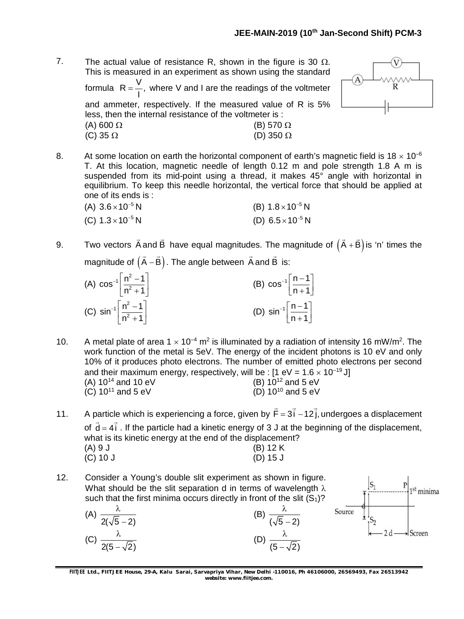7. The actual value of resistance R, shown in the figure is 30  $\Omega$ . This is measured in an experiment as shown using the standard formula R =  $\frac{V}{I}$ , I  $=\frac{1}{x}$ , where V and I are the readings of the voltmeter and ammeter, respectively. If the measured value of R is 5% less, then the internal resistance of the voltmeter is : (A) 600  $\Omega$  (B) 570  $\Omega$ (C)  $35 \Omega$  (D)  $350 \Omega$ 



8. At some location on earth the horizontal component of earth's magnetic field is  $18 \times 10^{-6}$ T. At this location, magnetic needle of length 0.12 m and pole strength 1.8 A m is suspended from its mid-point using a thread, it makes 45° angle with horizontal in equilibrium. To keep this needle horizontal, the vertical force that should be applied at one of its ends is :

| (A) $3.6 \times 10^{-5}$ N | (B) $1.8 \times 10^{-5}$ N |
|----------------------------|----------------------------|
| (C) $1.3 \times 10^{-5}$ N | (D) $6.5 \times 10^{-5}$ N |

9. Two vectors A and B  $\rightarrow$   $\rightarrow$ have equal magnitudes. The magnitude of  $(A + B)$  $\rightarrow$   $\rightarrow$ is 'n' times the magnitude of  $(A - B)$  $\rightarrow$   $\rightarrow$ . The angle between A and B  $\rightarrow$ is:

| (A) $\cos^{-1}\left[\frac{n^2-1}{n^2+1}\right]$        | (B) $\cos^{-1} \left[\frac{n-1}{n+1}\right]$   |
|--------------------------------------------------------|------------------------------------------------|
| (C) $\sin^{-1} \left[ \frac{n^2 - 1}{n^2 + 1} \right]$ | (D) $\sin^{-1} \left[ \frac{n-1}{n+1} \right]$ |

10. A metal plate of area  $1 \times 10^{-4}$  m<sup>2</sup> is illuminated by a radiation of intensity 16 mW/m<sup>2</sup>. The work function of the metal is 5eV. The energy of the incident photons is 10 eV and only 10% of it produces photo electrons. The number of emitted photo electrons per second and their maximum energy, respectively, will be :  $[1 \text{ eV} = 1.6 \times 10^{-19} \text{ J}]$ <br>(A)  $10^{14}$  and  $10 \text{ eV}$  (B)  $10^{12}$  and  $5 \text{ eV}$ (A)  $10^{14}$  and  $10 \text{ eV}$  (B)  $10^{12}$  and  $5 \text{ eV}$  (C)  $10^{11}$  and  $5 \text{ eV}$  (D)  $10^{10}$  and  $5 \text{ eV}$  $(C)$  10<sup>11</sup> and 5 eV

11. A particle which is experiencing a force, given by  $F = 3i - 12j$ ,  $\rightarrow$   $\rightarrow$   $\rightarrow$ undergoes a displacement of  $d = 4i$  $\frac{1}{2}$   $\frac{1}{2}$ . If the particle had a kinetic energy of 3 J at the beginning of the displacement, what is its kinetic energy at the end of the displacement?  $(A) 9 J$  (B) 12 K (C) 10 J (D) 15 J

12. Consider a Young's double slit experiment as shown in figure. What should be the slit separation d in terms of wavelength  $\lambda$ such that the first minima occurs directly in front of the slit  $(S_1)$ ?

(A) 
$$
\frac{\lambda}{2(\sqrt{5}-2)}
$$
   
\n(B)  $\frac{\lambda}{(\sqrt{5}-2)}$    
\n(C)  $\frac{\lambda}{2(5-\sqrt{2})}$    
\n(D)  $\frac{\lambda}{(5-\sqrt{2})}$ 



**FIITJEE** *Ltd., FIITJEE House, 29-A, Kalu Sarai, Sarvapriya Vihar, New Delhi -110016, Ph 46106000, 26569493, Fax 26513942 website: [www.fiitjee.com.](http://www.fiitjee.com.)*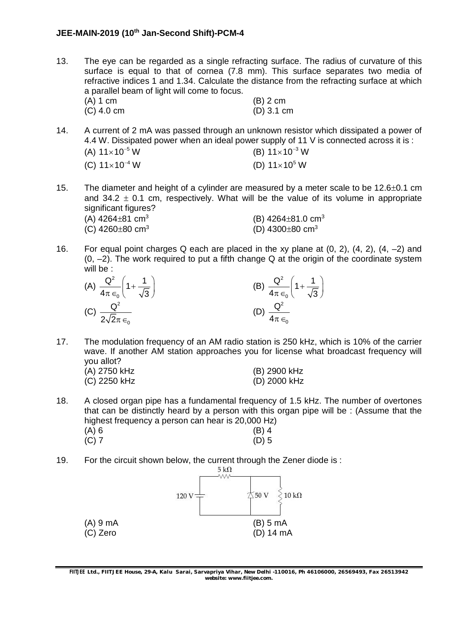- 13. The eye can be regarded as a single refracting surface. The radius of curvature of this surface is equal to that of cornea (7.8 mm). This surface separates two media of refractive indices 1 and 1.34. Calculate the distance from the refracting surface at which a parallel beam of light will come to focus. (A) 1 cm (B) 2 cm (C) 4.0 cm (D) 3.1 cm
- 14. A current of 2 mA was passed through an unknown resistor which dissipated a power of 4.4 W. Dissipated power when an ideal power supply of 11 V is connected across it is : (A)  $11 \times 10^{-5}$  W  $\times$ 10<sup>-5</sup> W (B) 11 $\times$ 10<sup>-3</sup> W (C)  $11 \times 10^{-4}$  W  $\times$ 10<sup>-4</sup> W (D) 11 $\times$ 10<sup>5</sup> W
- 15. The diameter and height of a cylinder are measured by a meter scale to be  $12.6\pm0.1$  cm and 34.2  $\pm$  0.1 cm, respectively. What will be the value of its volume in appropriate significant figures?

| (A) $4264 \pm 81$ cm <sup>3</sup> | (B) $4264 \pm 81.0 \text{ cm}^3$  |
|-----------------------------------|-----------------------------------|
| (C) 4260 $\pm$ 80 cm <sup>3</sup> | (D) 4300 $\pm$ 80 cm <sup>3</sup> |

16. For equal point charges Q each are placed in the xy plane at  $(0, 2)$ ,  $(4, 2)$ ,  $(4, -2)$  and  $(0, -2)$ . The work required to put a fifth change Q at the origin of the coordinate system will be :

| (A) $\frac{Q^2}{4\pi\epsilon_0} \left(1 + \frac{1}{\sqrt{3}}\right)$ | (B) $\frac{Q^2}{4\pi \epsilon_0} \left(1 + \frac{1}{\sqrt{3}}\right)$ |
|----------------------------------------------------------------------|-----------------------------------------------------------------------|
| (C) $\frac{Q}{2\sqrt{2}\pi\epsilon_0}$                               | $\overline{4\pi \epsilon_{0}}$                                        |

17. The modulation frequency of an AM radio station is 250 kHz, which is 10% of the carrier wave. If another AM station approaches you for license what broadcast frequency will you allot?

| (A) 2750 kHz | (B) 2900 kHz |
|--------------|--------------|
| (C) 2250 kHz | (D) 2000 kHz |

- 18. A closed organ pipe has a fundamental frequency of 1.5 kHz. The number of overtones that can be distinctly heard by a person with this organ pipe will be : (Assume that the highest frequency a person can hear is 20,000 Hz) (A) 6 (B) 4 (C) 7 (D) 5
- 19. For the circuit shown below, the current through the Zener diode is :

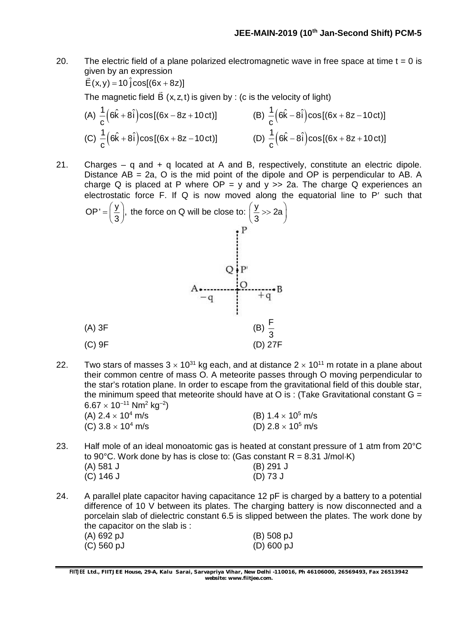20. The electric field of a plane polarized electromagnetic wave in free space at time  $t = 0$  is given by an expression

$$
\vec{E}(x, y) = 10 \hat{j} \cos[(6x + 8z)]
$$

The magnetic field  $B(x, z, t)$ is given by : (c is the velocity of light)

(A) 
$$
\frac{1}{c} (6\hat{k} + 8\hat{i}) \cos[(6x - 8z + 10 \text{ct})]
$$
  
\n(B)  $\frac{1}{c} (6\hat{k} - 8\hat{i}) \cos[(6x + 8z - 10 \text{ct})]$   
\n(C)  $\frac{1}{c} (6\hat{k} + 8\hat{i}) \cos[(6x + 8z - 10 \text{ct})]$   
\n(D)  $\frac{1}{c} (6\hat{k} - 8\hat{i}) \cos[(6x + 8z + 10 \text{ct})]$ 

21. Charges – q and  $+$  q located at A and B, respectively, constitute an electric dipole. Distance  $AB = 2a$ , O is the mid point of the dipole and OP is perpendicular to AB. A charge Q is placed at P where  $OP = y$  and  $y >> 2a$ . The charge Q experiences an electrostatic force  $F$ . If  $Q$  is now moved along the equatorial line to  $P'$  such that  $\mathsf{OP'} = \left(\frac{\mathsf{y}}{\mathsf{p}}\right),$  $t=\left(\frac{\mathsf{y}}{3}\right)$ , the force on Q will be close to:  $\left(\frac{\mathsf{y}}{3}>\right)$  2a  $\left(\frac{y}{3} >> 2a\right)$ 



22. Two stars of masses  $3 \times 10^{31}$  kg each, and at distance  $2 \times 10^{11}$  m rotate in a plane about their common centre of mass O. A meteorite passes through O moving perpendicular to the star's rotation plane. In order to escape from the gravitational field of this double star, the minimum speed that meteorite should have at O is : (Take Gravitational constant  $G =$  $6.67\times10^{-11}$  Nm $^2$  kg $^{-2})$ 

| (A) 2.4 $\times$ 10 <sup>4</sup> m/s | (B) 1.4 $\times$ 10 <sup>5</sup> m/s |
|--------------------------------------|--------------------------------------|
| (C) 3.8 $\times$ 10 <sup>4</sup> m/s | (D) 2.8 $\times$ 10 <sup>5</sup> m/s |

- 23. Half mole of an ideal monoatomic gas is heated at constant pressure of 1 atm from 20°C to 90 $^{\circ}$ C. Work done by has is close to: (Gas constant R = 8.31 J/mol $\cdot$ K) (A) 581 J (B) 291 J (C) 146 J (D) 73 J
- 24. A parallel plate capacitor having capacitance 12 pF is charged by a battery to a potential difference of 10 V between its plates. The charging battery is now disconnected and a porcelain slab of dielectric constant 6.5 is slipped between the plates. The work done by the capacitor on the slab is : (A) 692 pJ (B) 508 pJ

**FIITJEE** *Ltd., FIITJEE House, 29-A, Kalu Sarai, Sarvapriya Vihar, New Delhi -110016, Ph 46106000, 26569493, Fax 26513942 website: [www.fiitjee.com.](http://www.fiitjee.com.)*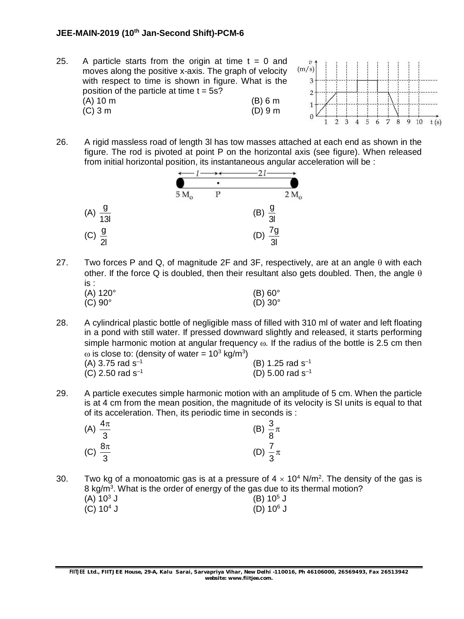#### **JEE-MAIN-2019 (10th Jan-Second Shift)-PCM-6**

25. A particle starts from the origin at time  $t = 0$  and moves along the positive x-axis. The graph of velocity with respect to time is shown in figure. What is the position of the particle at time  $t = 5s$ ? (A) 10 m (B) 6 m (C) 3 m (D) 9 m



26. A rigid massless road of length 3l has tow masses attached at each end as shown in the figure. The rod is pivoted at point P on the horizontal axis (see figure). When released from initial horizontal position, its instantaneous angular acceleration will be :



- 27. Two forces P and Q, of magnitude 2F and 3F, respectively, are at an angle  $\theta$  with each other. If the force Q is doubled, then their resultant also gets doubled. Then, the angle  $\theta$ is :  $(A) 120^{\circ}$  (B) 60°
	- $(C) 90^{\circ}$  (D)  $30^{\circ}$
- 28. A cylindrical plastic bottle of negligible mass of filled with 310 ml of water and left floating in a pond with still water. If pressed downward slightly and released, it starts performing simple harmonic motion at angular frequency  $\omega$ . If the radius of the bottle is 2.5 cm then  $\omega$  is close to: (density of water = 10<sup>3</sup> kg/m<sup>3</sup>) (A) 3.75 rad  $s^{-1}$ (B) 1.25 rad  $s^{-1}$

| $(1)$ 0.10 100 0      |  |
|-----------------------|--|
| (C) 2.50 rad $s^{-1}$ |  |

(D) 5.00 rad  $s^{-1}$ 

29. A particle executes simple harmonic motion with an amplitude of 5 cm. When the particle is at 4 cm from the mean position, the magnitude of its velocity is SI units is equal to that of its acceleration. Then, its periodic time in seconds is :

| (A) $\frac{4\pi}{3}$ | (B) $\frac{3}{8}\pi$ |  |
|----------------------|----------------------|--|
| (C) $\frac{8\pi}{3}$ | (D) $\frac{7}{3}\pi$ |  |

30. Two kg of a monoatomic gas is at a pressure of  $4 \times 10^4$  N/m<sup>2</sup>. The density of the gas is 8 kg/m<sup>3</sup>. What is the order of energy of the gas due to its thermal motion?  $(A) 10<sup>3</sup> J$  $(B) 10^5 J$ <br>(D)  $10^6 J$ (C)  $10^4$  J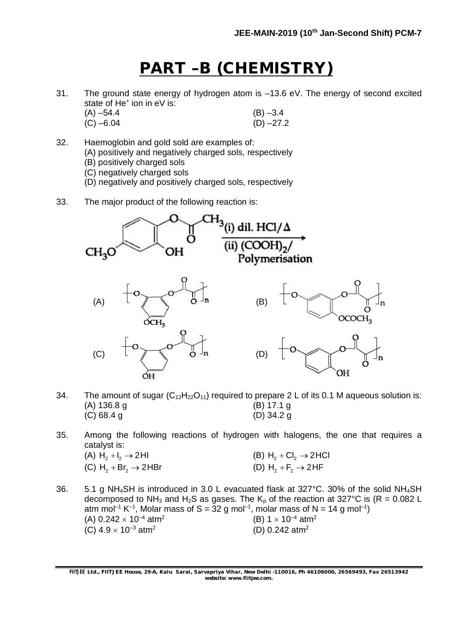# **PART –B (CHEMISTRY)**

31. The ground state energy of hydrogen atom is –13.6 eV. The energy of second excited state of He<sup>+</sup> ion in eV is:

| $(A) -54.4$ | $(B) -3.4$  |
|-------------|-------------|
| $(C) -6.04$ | $(D) -27.2$ |

- 32. Haemoglobin and gold sold are examples of:
	- (A) positively and negatively charged sols, respectively
	- (B) positively charged sols
	- (C) negatively charged sols
	- (D) negatively and positively charged sols, respectively
- 33. The major product of the following reaction is:



- 34. The amount of sugar  $(C_{12}H_{22}O_{11})$  required to prepare 2 L of its 0.1 M aqueous solution is:<br>(A) 136.8 q<br>(B) 17.1 q  $(A)$  136.8 g (C) 68.4 g (D) 34.2 g
- 35. Among the following reactions of hydrogen with halogens, the one that requires a catalyst is:
	- (A)  $H_2 + I_2 \rightarrow 2H$ <br>
	(C)  $H_2 + Br_2 \rightarrow 2HBr$ <br>
	(D)  $H_2 + F_2 \rightarrow 2HF$ (C)  $H_2 + Br_2 \rightarrow 2 HBr$
- 36. 5.1 g NH4SH is introduced in 3.0 L evacuated flask at 327°C. 30% of the solid NH4SH decomposed to NH<sub>3</sub> and H<sub>2</sub>S as gases. The K<sub>p</sub> of the reaction at 327°C is (R = 0.082 L atm mol<sup>-1</sup> K<sup>-1</sup>, Molar mass of S = 32 g mol<sup>-1</sup>, molar mass of N = 14 g mol<sup>-1</sup>) (A)  $0.242 \times 10^{-4}$  atm<sup>2</sup> (B)  $1 \times 10^{-4}$  atm<sup>2</sup> (C)  $4.9 \times 10^{-3}$  atm<sup>2</sup> (D) 0.242 atm2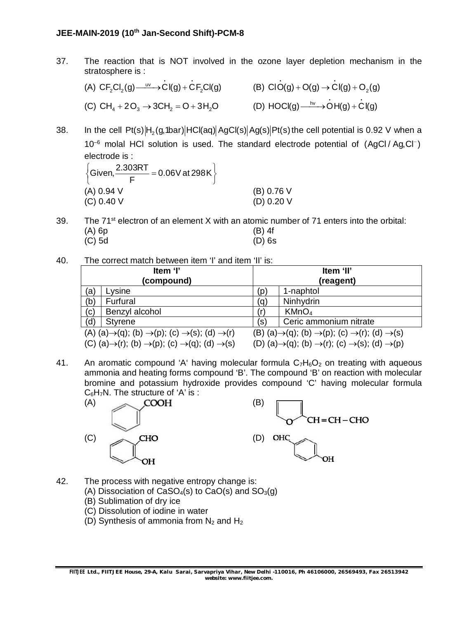#### **JEE-MAIN-2019 (10th Jan-Second Shift)-PCM-8**

37. The reaction that is NOT involved in the ozone layer depletion mechanism in the stratosphere is :

(A)  $CF_2Cl_2(g) \xrightarrow{\hspace{2mm} w \hspace{2mm}} \overrightarrow{C}I(g) + \overrightarrow{C}F_2Cl(g)$  (B)  $ClO(g) + O(g) \rightarrow Cl(g) + O_2(g)$ (C)  $CH_4 + 2O_3 \rightarrow 3CH_2 = O + 3H_2O$  (D)  $HOCI(g) \xrightarrow{hv} \overrightarrow{O}H(g) + \overrightarrow{C}I(g)$ 

38. In the cell Pt(s) $\ket{\mathsf{H}_2(\mathsf{g},\mathsf{1bar})}$ HCl(aq) $\ket{\mathsf{AGC}(\mathsf{s})}$ Ag(s) $\ket{\mathsf{Pt}(\mathsf{s})}$  the cell potential is 0.92 V when a  $10^{-6}$  molal HCl solution is used. The standard electrode potential of  $(AqCl/Aq,Cl^{-})$ electrode is :

| 2.303RT<br>$\frac{0.00151}{2}$ = 0.06V at 298K $\}$<br>$\sqrt{\text{Given}}$ |              |
|------------------------------------------------------------------------------|--------------|
| (A) 0.94 V                                                                   | (B) 0.76 V   |
| (C) 0.40 V                                                                   | (D) $0.20$ V |

- 39. The  $71^{st}$  electron of an element X with an atomic number of 71 enters into the orbital: (A) 6p (B) 4f  $(C)$  5d
- 40. The correct match between item 'I' and item 'II' is:

| Item 'I'<br>Item 'II'   |                                                                                                |     |                                                                                                |
|-------------------------|------------------------------------------------------------------------------------------------|-----|------------------------------------------------------------------------------------------------|
| (compound)<br>(reagent) |                                                                                                |     |                                                                                                |
| (a)                     | Lysine                                                                                         | (p) | 1-naphtol                                                                                      |
| (b)                     | Furfural                                                                                       | (q) | Ninhydrin                                                                                      |
| (c)                     | Benzyl alcohol                                                                                 | (r) | KMnO <sub>4</sub>                                                                              |
| (d)                     | <b>Styrene</b>                                                                                 | (s) | Ceric ammonium nitrate                                                                         |
|                         | (A) (a) $\rightarrow$ (q); (b) $\rightarrow$ (p); (c) $\rightarrow$ (s); (d) $\rightarrow$ (r) |     | (B) (a) $\rightarrow$ (q); (b) $\rightarrow$ (p); (c) $\rightarrow$ (r); (d) $\rightarrow$ (s) |
|                         | (C) (a) $\rightarrow$ (r); (b) $\rightarrow$ (p); (c) $\rightarrow$ (q); (d) $\rightarrow$ (s) |     | (D) (a) $\rightarrow$ (q); (b) $\rightarrow$ (r); (c) $\rightarrow$ (s); (d) $\rightarrow$ (p) |

41. An aromatic compound 'A' having molecular formula  $C_7H_6O_2$  on treating with aqueous ammonia and heating forms compound 'B'. The compound 'B' on reaction with molecular bromine and potassium hydroxide provides compound 'C' having molecular formula C6H7N. The structure of 'A' is :



- 42. The process with negative entropy change is:
	- (A) Dissociation of CaSO<sub>4</sub>(s) to CaO(s) and  $SO<sub>3</sub>(q)$
	- (B) Sublimation of dry ice
	- (C) Dissolution of iodine in water
	- (D) Synthesis of ammonia from  $N_2$  and  $H_2$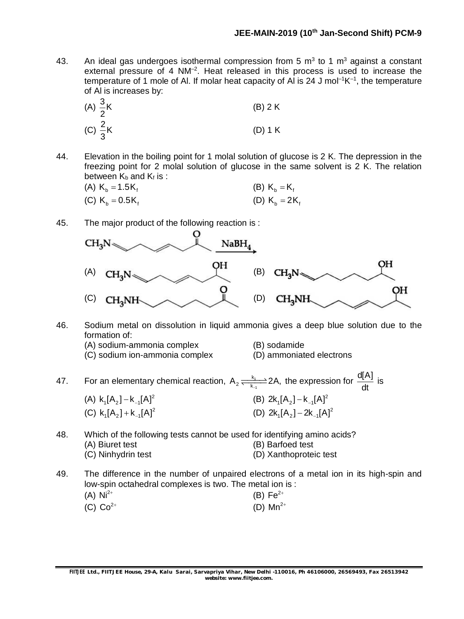43. An ideal gas undergoes isothermal compression from 5  $m<sup>3</sup>$  to 1  $m<sup>3</sup>$  against a constant external pressure of 4 NM<sup>-2</sup>. Heat released in this process is used to increase the temperature of 1 mole of Al. If molar heat capacity of Al is 24 J mol<sup>-1</sup>K<sup>-1</sup>, the temperature of Al is increases by:

(A) 
$$
\frac{3}{2}
$$
K  
\n(B) 2 K  
\n(C)  $\frac{2}{3}$ K  
\n(D) 1 K

44. Elevation in the boiling point for 1 molal solution of glucose is 2 K. The depression in the freezing point for 2 molal solution of glucose in the same solvent is 2 K. The relation between  $K_b$  and  $K_f$  is :

| (A) $K_b = 1.5K_f$ | (B) $K_b = K_f$  |
|--------------------|------------------|
| (C) $K_b = 0.5K_f$ | (D) $K_h = 2K_f$ |

45. The major product of the following reaction is :



- 46. Sodium metal on dissolution in liquid ammonia gives a deep blue solution due to the formation of:
	- (A) sodium-ammonia complex (B) sodamide
	- (C) sodium ion-ammonia complex (D) ammoniated electrons
- 
- 

47. For an elementary chemical reaction,  $A_2 = \frac{N_1}{K_{-1}}$ k  $A_2 \frac{k_1}{k_{-1}}$  2A, the expression for  $\frac{d[A]}{dt}$ is (A)  $k_1[A_2] - k_1[A]^2$ (B)  $2k_1[A_2] - k_{-1}[A]^2$ (C)  $k_1[A_2] + k_1[A]^2$ (D)  $2k_1[A_2] - 2k_{-1}[A]^2$ 

- 48. Which of the following tests cannot be used for identifying amino acids? (A) Biuret test (B) Barfoed test (C) Ninhydrin test (D) Xanthoproteic test
- 49. The difference in the number of unpaired electrons of a metal ion in its high-spin and low-spin octahedral complexes is two. The metal ion is : (A)  $Ni^{2+}$ (B)  $Fe^{2+}$

| (D) $Mn^{2+}$<br>(C) $Co^{2+}$ |  |
|--------------------------------|--|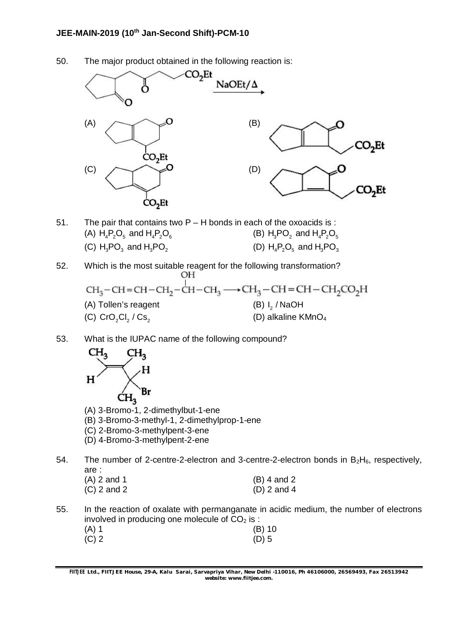#### **JEE-MAIN-2019 (10th Jan-Second Shift)-PCM-10**

50. The major product obtained in the following reaction is:



- 51. The pair that contains two P H bonds in each of the oxoacids is : (A)  $H_4P_2O_5$  and  $H_4P_2O_6$  (B)  $H_3PO_2$  and  $H_4P_2O_5$ (C)  $H_2PO_3$  and  $H_3PO_5$   $(D) H_4P_2O_5$  and  $H_3PO_3$
- 52. Which is the most suitable reagent for the following transformation? OН  $CH_3-CH=CH-CH_2-CH-CH_3 \longrightarrow CH_3-CH=CH-CH_2CO_2H$ 
	- (A) Tollen's reagent  $(B) I<sub>2</sub> / NaOH$ (C) CrO Cl / Cs 2 2 2 (D) alkaline KMnO<sup>4</sup>
- 53. What is the IUPAC name of the following compound?



- (A) 3-Bromo-1, 2-dimethylbut-1-ene
- (B) 3-Bromo-3-methyl-1, 2-dimethylprop-1-ene
- (C) 2-Bromo-3-methylpent-3-ene
- (D) 4-Bromo-3-methylpent-2-ene
- 54. The number of 2-centre-2-electron and 3-centre-2-electron bonds in  $B_2H_6$ , respectively, are :

| (A) 2 and 1 | $(B)$ 4 and 2 |
|-------------|---------------|
| (C) 2 and 2 | $(D)$ 2 and 4 |

55. In the reaction of oxalate with permanganate in acidic medium, the number of electrons involved in producing one molecule of  $CO<sub>2</sub>$  is :<br>(B) 10<br>(B) 10

| $(A)$ 1 | $(B)$ 10 |
|---------|----------|
| $(C)$ 2 | $(D)$ 5  |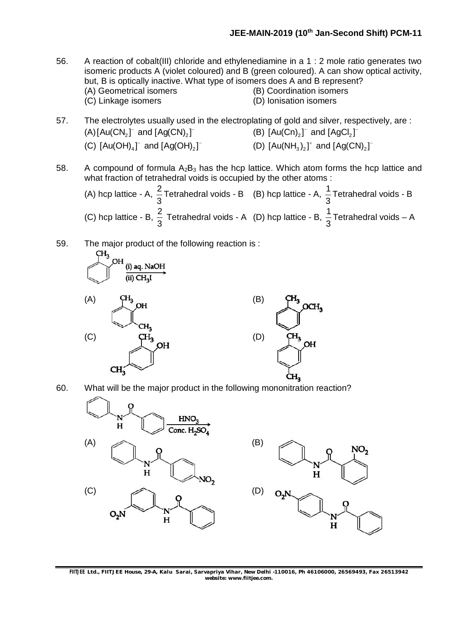- 56. A reaction of cobalt(III) chloride and ethylenediamine in a 1 : 2 mole ratio generates two isomeric products A (violet coloured) and B (green coloured). A can show optical activity, but, B is optically inactive. What type of isomers does A and B represent?<br>(A) Geometrical isomers (B) Coordination isomers (B) Coordination isomers (C) Linkage isomers (D) Ionisation isomers
- 57. The electrolytes usually used in the electroplating of gold and silver, respectively, are :  $(A)[Au(CN<sub>2</sub>]<sup>-</sup>$  and  $[Ag(CN)<sub>2</sub>]<sup>-</sup>$  (B)  $[Au(Cn)<sub>2</sub>]<sup>-</sup>$  and  $[AgCl<sub>2</sub>]<sup>-</sup>$ (C)  $[Au(OH)_a]^-$  and  $[Ag(OH)_2]^-$  (D)  $[Au(NH_3)_2]^+$  and  $[Ag(CN)_2]^-$
- 58. A compound of formula  $A_2B_3$  has the hcp lattice. Which atom forms the hcp lattice and what fraction of tetrahedral voids is occupied by the other atoms :

(A) hcp lattice - A,  $\frac{2}{3}$ 3 Tetrahedral voids - B (B) hcp lattice - A,  $\frac{1}{2}$ 3 Tetrahedral voids - B (C) hcp lattice - B,  $\frac{2}{3}$ 3 Tetrahedral voids - A (D) hcp lattice - B,  $\frac{1}{2}$ 3 Tetrahedral voids – A

59. The major product of the following reaction is :





60. What will be the major product in the following mononitration reaction?



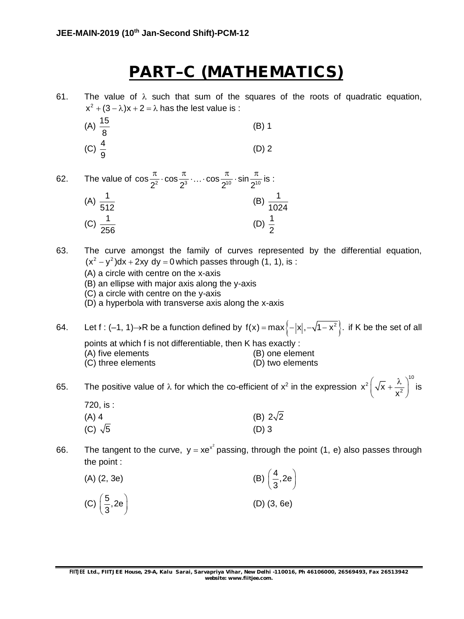# **PART–C (MATHEMATICS)**

61. The value of  $\lambda$  such that sum of the squares of the roots of quadratic equation,  $x^2 + (3 - \lambda)x + 2 = \lambda$  has the lest value is :

- (A)  $\frac{15}{9}$ 8 (B) 1 (C)  $\frac{4}{9}$ 9 (D) 2
- 62. The value of  $\cos \frac{\pi}{2^2} \cdot \cos \frac{\pi}{2^3} \cdot ... \cdot \cos \frac{\pi}{2^{10}} \cdot \sin \frac{\pi}{2^{10}}$  $\frac{\pi}{\sqrt{2}} \cdot \cos \frac{\pi}{\sqrt{3}} \cdot ... \cdot \cos \frac{\pi}{\sqrt{2}} \cdot \sin \frac{\pi}{\sqrt{2}}$  is : (A)  $\frac{1}{1}$ 512 (B)  $\frac{1}{105}$ 1024 (C)  $\frac{1}{2}$ 256 (D)  $\frac{1}{2}$ 2

63. The curve amongst the family of curves represented by the differential equation,  $(x<sup>2</sup> - y<sup>2</sup>)dx + 2xy dy = 0$  which passes through (1, 1), is :

(A) a circle with centre on the x-axis

(B) an ellipse with major axis along the y-axis

(C) a circle with centre on the y-axis

(D) a hyperbola with transverse axis along the x-axis

- 64. Let f : (-1, 1)  $\rightarrow$  R be a function defined by f(x) = max  $\{-|x|, -\sqrt{1-x^2}\}$ . if K be the set of all points at which f is not differentiable, then K has exactly : (A) five elements (B) one element (C) three elements (D) two elements
- 65. The positive value of  $\lambda$  for which the co-efficient of  $x^2$  in the expression 10 2  $\left| \sqrt{x} + \frac{y}{x^2} \right|$ x  $\left(\sqrt{x}+\frac{\lambda}{x^2}\right)^{16}$  is  $720$  is  $\cdot$

| 120.15.        |                 |
|----------------|-----------------|
| $(A)$ 4        | (B) $2\sqrt{2}$ |
| (C) $\sqrt{5}$ | $(D)$ 3         |

66. The tangent to the curve,  $y = xe^{x^2}$  passing, through the point (1, e) also passes through the point :

| $(A)$ $(2, 3e)$                    | (B) $\left(\frac{4}{3}, 2e\right)$ |
|------------------------------------|------------------------------------|
| (C) $\left(\frac{5}{3}, 2e\right)$ | $(D)$ $(3, 6e)$                    |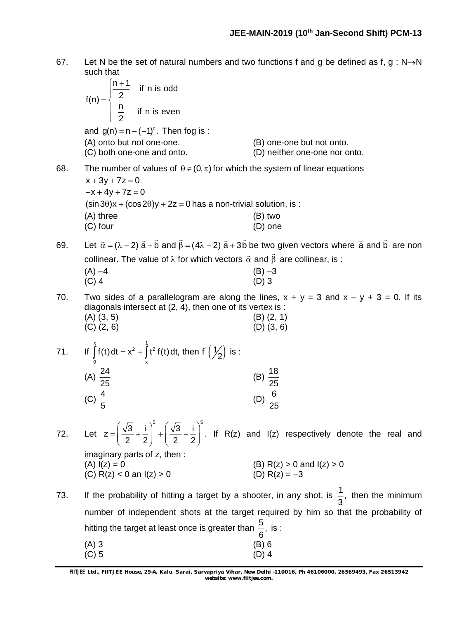67. Let N be the set of natural numbers and two functions f and g be defined as f, g : N $\rightarrow$ N such that

$$
f(n) = \begin{cases} \frac{n+1}{2} & \text{if } n \text{ is odd} \\ \frac{n}{2} & \text{if } n \text{ is even} \end{cases}
$$
  
and  $g(n) = n - (-1)^n$ . Then fog is :  
(A) onto but not one-one.  
(C) both one-one and onto.  
68. The number of values of  $\theta \in (0, \pi)$  for which the system of linear equations  
 $x + 3y + 7z = 0$   
 $-x + 4y + 7z = 0$ 

 $(\sin 3\theta)x + (\cos 2\theta)y + 2z = 0$  has a non-trivial solution, is : (A) three (B) two (C) four (D) one

69. Let  $\vec{\alpha} = (\lambda - 2) \vec{a} + \vec{b}$  and  $\vec{\beta} = (4\lambda - 2) \vec{a} + 3\vec{b}$  be two given vectors where  $\vec{a}$  and  $\vec{b}$  $\rightarrow$   $\rightarrow$   $\rightarrow$ are non collinear. The value of  $\lambda$  for which vectors  $\vec{\alpha}$  and  $\vec{\beta}$  are collinear, is :

| $(A) -4$ | $(B) -3$ |
|----------|----------|
| $(C)$ 4  | $(D)$ 3  |

- 70. Two sides of a parallelogram are along the lines,  $x + y = 3$  and  $x y + 3 = 0$ . If its diagonals intersect at (2, 4), then one of its vertex is : (A)  $(3, 5)$  (B)  $(2, 1)$ <br>
(C)  $(2, 6)$  (D)  $(3, 6)$  $(C)$   $(2, 6)$
- 71. If  $\int f(t) dt = x^2 + \int t^2 f(t) dt$ , then  $f(\frac{1}{2})$  $\int_{1}^{x} f(t) dt = v^2 \int_{1}^{1} t^2 f(t) dt$  then f 0 x  $\int f(t) dt = x^2 + \int t^2 f(t) dt$ , then  $f'(\frac{1}{2})$  is :  $(A) \frac{24}{37}$ 25 (B)  $\frac{18}{27}$ 25 (C)  $\frac{4}{7}$ 5 (D)  $\frac{6}{3}$ 25

72. Let  $z = \left(\frac{\sqrt{3}}{2} + \frac{i}{2}\right)^5 + \left(\frac{\sqrt{3}}{2} - \frac{i}{2}\right)^5$ 2 2 2  $(\sqrt{3} \quad i)$   $(\sqrt{3} \quad i)$  $= \left| \frac{\sqrt{6}}{2} + \frac{1}{2} \right| + \left| \frac{\sqrt{6}}{2} - \frac{1}{2} \right|$  $(2 2)$   $(2 2)$ . If R(z) and I(z) respectively denote the real and imaginary parts of z, then :

(A) 
$$
I(z) = 0
$$
  
\n(B)  $R(z) > 0$  and  $I(z) > 0$   
\n(C)  $R(z) < 0$  an  $I(z) > 0$   
\n(D)  $R(z) = -3$ 

- 73. If the probability of hitting a target by a shooter, in any shot, is  $\frac{1}{6}$ , 3 then the minimum number of independent shots at the target required by him so that the probability of hitting the target at least once is greater than  $\frac{5}{5}$ , 6 is :  $(A) 3$  (B) 6
	- $(C) 5$  (D) 4

**FIITJEE** *Ltd., FIITJEE House, 29-A, Kalu Sarai, Sarvapriya Vihar, New Delhi -110016, Ph 46106000, 26569493, Fax 26513942 website: [www.fiitjee.com.](http://www.fiitjee.com.)*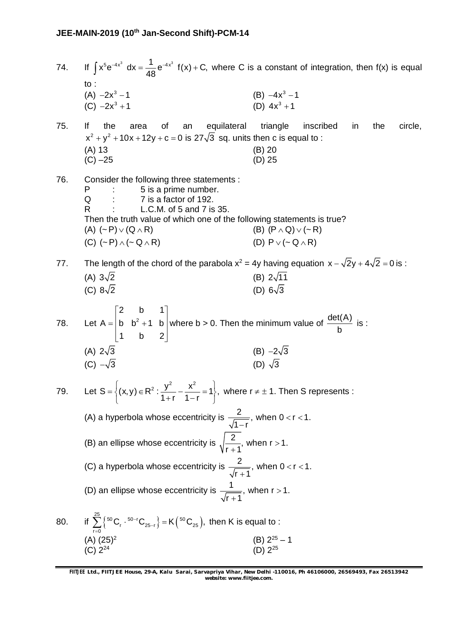74. If  $\int x^5 e^{-4x^3} dx = \frac{1}{4} e^{-4x^3} f(x) + C$ ,  $\int x^5 e^{-4x^3} dx = \frac{1}{48} e^{-4x^3} f(x) + C$ , where C is a constant of integration, then f(x) is equal to :  $(A) -2x^3 - 1$  $-2x^3 - 1$  (B)  $-4x^3 - 1$ (C)  $-2x^3 + 1$  (D)  $4x^3$ (D)  $4x^3 + 1$ 75. If the area of an equilateral triangle inscribed in the circle,  $x^{2} + y^{2} + 10x + 12y + c = 0$  is 27 $\sqrt{3}$  sq. units then c is equal to : (A) 13 (B) 20 (C) –25 (D) 25 76. Consider the following three statements : 5 is a prime number. Q : 7 is a factor of 192. R : L.C.M. of 5 and 7 is 35. Then the truth value of which one of the following statements is true? (A)  $({\sim} P) \vee (Q \wedge R)$  (B)  $(P \wedge Q) \vee (\sim R)$ (C)  $({\sim}P) \wedge ({\sim}Q \wedge R)$  (D)  $P \vee ({\sim}Q \wedge R)$ 77. The length of the chord of the parabola  $x^2 = 4y$  having equation  $x - \sqrt{2}y + 4\sqrt{2} = 0$  is : (A)  $3\sqrt{2}$  (B)  $2\sqrt{11}$ (C)  $8\sqrt{2}$  (D)  $6\sqrt{3}$ 78. Let  $A = |b \; b^2$ 2 b 1  $A = |b \; b^2 + 1 \; b$ 1 b 2  $\begin{vmatrix} 2 & b & 1 \end{vmatrix}$  $=$  b b<sup>2</sup> +1 b v  $\begin{bmatrix} 1 & b & 2 \end{bmatrix}$ where b > 0. Then the minimum value of  $\frac{\det(A)}{A}$ b is : (A)  $2\sqrt{3}$  (B)  $-2\sqrt{3}$ <br>(C)  $-\sqrt{3}$  (D)  $\sqrt{3}$ (C)  $-\sqrt{3}$ 79. Let  $S = \left\{ (x, y) \in R^2 : \frac{y^2}{4} - \frac{x^2}{4} = 1 \right\},$  $1 + r$  1-r  $=\Big\{(x,y)\in \mathsf{R}^2: \frac{y^2}{1+r}-\frac{x^2}{1-r}=1\Big\},\,$  where  $r\neq \pm$  1. Then S represents : (A) a hyperbola whose eccentricity is  $\frac{2}{\sqrt{2}}$ , when 0 < r < 1.  $1 - r$  $<$ r $<$ 1 -(B) an ellipse whose eccentricity is  $\sqrt{\frac{2}{\cdot}}$ , when r > 1.  $r + 1$  $>$  $\ddot{}$ (C) a hyperbola whose eccentricity is  $\frac{2}{\sqrt{2}}$ , when 0 < r < 1.  $r + 1$  $<$  r  $<$  1  $\ddot{}$ (D) an ellipse whose eccentricity is  $\frac{1}{\sqrt{1-\frac{1}{1-\frac{1}{\sqrt{1-\frac{1}{\sqrt{1-\frac{1}{\sqrt{1-\frac{1}{\sqrt{1-\frac{1}{\sqrt{1-\frac{1}{\sqrt{1-\frac{1}{\sqrt{1-\frac{1}{\sqrt{1-\frac{1}{\sqrt{1-\frac{1}{\sqrt{1-\frac{1}{\sqrt{1-\frac{1}{\sqrt{1-\frac{1}{\sqrt{1-\frac{1}{\sqrt{1-\frac{1}{\sqrt{1-\frac{1}{\sqrt{1-\frac{1}{\sqrt{1-\frac{1}{\sqrt{1-\frac{1}{\$  $r + 1$  $>$  $\ddot{}$ 80. if  $\sum_{r=0}^{25} \left\{ {}^{50}C_r \cdot {}^{50-r}C_{25-r} \right\} = K \left( {}^{50}C_{25} \right)$  $\sum_{r=0} \left\{ {^{50}}C_r \cdot {^{50-r}}C_{25-r} \right\} = K({^{50}}C_{25}),$  then K is equal to :  $(A)$   $(25)^2$  $(B)$  2<sup>25</sup> – 1<br>(ח) 2<sup>25</sup>  $(C)$   $2^{24}$  $24$  (D) 2

**FIITJEE** *Ltd., FIITJEE House, 29-A, Kalu Sarai, Sarvapriya Vihar, New Delhi -110016, Ph 46106000, 26569493, Fax 26513942 website: [www.fiitjee.com.](http://www.fiitjee.com.)*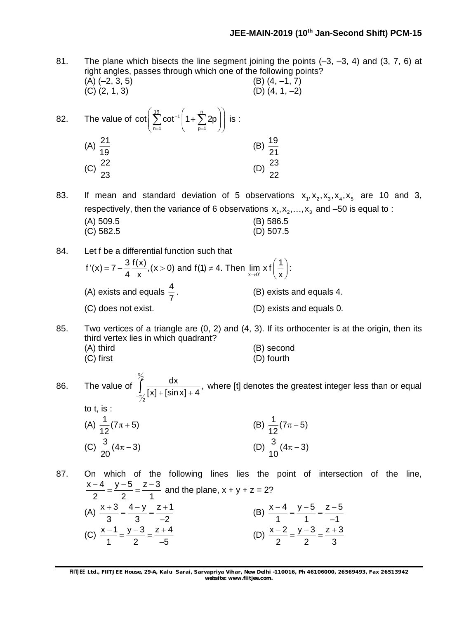81. The plane which bisects the line segment joining the points  $(-3, -3, 4)$  and  $(3, 7, 6)$  at right angles, passes through which one of the following points?  $(A)$  (-2, 3, 5) (B) (4, -1, 7) (C)  $(2, 1, 3)$  (D)  $(4, 1, -2)$ 

82. The value of 
$$
\cot\left(\sum_{n=1}^{19} \cot^{-1}\left(1 + \sum_{p=1}^{n} 2p\right)\right)
$$
 is :  
\n(A)  $\frac{21}{19}$   
\n(B)  $\frac{19}{21}$   
\n(C)  $\frac{22}{23}$   
\n(D)  $\frac{23}{22}$ 

83. If mean and standard deviation of 5 observations  $x_1, x_2, x_3, x_4, x_5$  are 10 and 3, respectively, then the variance of 6 observations  $x_1, x_2, ..., x_3$  and –50 is equal to : (A) 509.5 (B) 586.5

- (C) 582.5 (D) 507.5
- 84. Let f be a differential function such that  $f'(x) = 7 - \frac{3}{4} \frac{f(x)}{x}$ , (x > 0) and f(1)  $\neq$  4. Then  $\lim_{x \to 0^+} x f(\frac{1}{x})$ : 4 x  $x \to 0^+$   $(x)$  $= 7 - \frac{3}{4} \frac{f(x)}{x}$ , (x > 0) and f(1)  $\neq$  4. Then  $\lim_{x \to 0^+} x f(\frac{1}{x})$ : (A) exists and equals  $\frac{4}{7}$ 7 . (B) exists and equals 4. (C) does not exist. (D) exists and equals 0.

85. Two vertices of a triangle are (0, 2) and (4, 3). If its orthocenter is at the origin, then its third vertex lies in which quadrant? (A) third (B) second

- (C) first (D) fourth
- 
- 86. The value of  $\int_{0}^{2} \frac{dx}{\sqrt{1 + \left(1 + \frac{1}{2}\right)^2}},$ 2  $[x] + [sin x] + 4$ π  $\int_{-\pi/2}^{\pi/2} [x] + [\sin x] + 4$ , where [t] denotes the greatest integer less than or equal to t, is :

(A) 
$$
\frac{1}{12}(7\pi + 5)
$$
  
\n(B)  $\frac{1}{12}(7\pi - 5)$   
\n(C)  $\frac{3}{20}(4\pi - 3)$   
\n(D)  $\frac{3}{10}(4\pi - 3)$ 

87. On which of the following lines lies the point of intersection of the line,  $x - 4$   $y - 5$   $z - 3$ 2 2 1  $\frac{-4}{2} = \frac{y-5}{2} = \frac{z-3}{4}$  and the plane, x + y + z = 2? (A)  $\frac{x+3}{2} = \frac{4-y}{2} = \frac{z+1}{2}$  $3 \t -2$  $\frac{+3}{2} = \frac{4-y}{2} = \frac{z+1}{2}$ -(B)  $\frac{x-4}{1} = \frac{y-5}{1} = \frac{z-5}{1}$  $1 \t -1$  $\frac{-4}{1} = \frac{y-5}{1} = \frac{z-5}{1}$ -(C)  $\frac{x-1}{1} = \frac{y-3}{2} = \frac{z+4}{7}$ 1 2  $-5$  $\frac{-1}{1} = \frac{y-3}{2} = \frac{z+4}{7}$  $\overline{\phantom{a}}$ (D)  $\frac{x-2}{2} = \frac{y-3}{2} = \frac{z+3}{2}$ 2 2 3  $\frac{-2}{2} = \frac{y-3}{2} = \frac{z+3}{2}$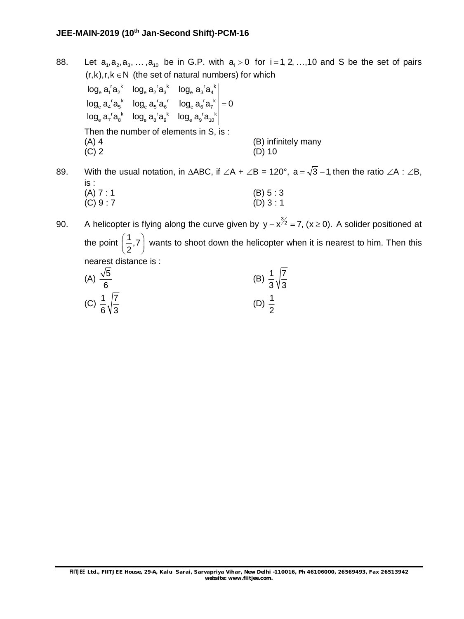- 88. Let  $a_1, a_2, a_3, ..., a_{10}$  be in G.P. with  $a_i > 0$  for  $i = 1, 2, ..., 10$  and S be the set of pairs  $(r,k), r, k \in N$  (the set of natural numbers) for which
	- $_{\rm e}$  a $_{\rm i}$  'a $_{\rm 2}^{\rm k}$   $\,$  log $_{\rm e}$  a $_{\rm 2}^{\rm v}$  a $_{\rm a}$  'a $_{\rm a}$  'a $_{\rm a}$  'a $_{\rm a}$  'a $_{\rm a}$  'a  $_{e}$   $a_{4}$ <sup>r</sup> $a_{5}$ <sup>k</sup>  $log_{e} a_{5}$ <sup>r</sup> $a_{6}$ <sup>r</sup>  $log_{e} a_{6}$ r $a_{7}$ <sup>k</sup>  $_{\rm e}$  a $_{7}$ ' $\rm a_{8}^{\phantom{8}k}$   $\phantom{a}$  log $_{\rm e}$  a $_{9}^{\phantom{9}c}$  a $_{10}^{\phantom{0}c}$  log $_{\rm e}$  a $_{9}^{\phantom{9}c}$  a $_{10}^{\phantom{0}k}$  $\log_{\rm e}{\rm a}_{\rm i}^{\rm r}{\rm a}_{\rm 2}^{\rm k}$   $\log_{\rm e}{\rm a}_{\rm i}^{\rm r}{\rm a}_{\rm i}^{\rm l}{\rm a}_{\rm i}^{\rm l}$  $\log_{\rm e} a_{\rm a} {\rm 'a_{\rm 5}}^*$   $\log_{\rm e} a_{\rm 5} {\rm 'a_{\rm 6}}^*$   $\log_{\rm e} a_{\rm 6} {\rm 'a_{\rm 7}}^*$   $\log_{\rm e} a_{\rm 2}$  $\log_{\rm e} a_{\rm y} {\rm 'a_{\rm s}}^*$   $\log_{\rm e} a_{\rm s} {\rm 'a_{\rm s}}^*$   $\log_{\rm e} a_{\rm y} {\rm 'a_{\rm s}}^*$  $=$ Then the number of elements in S, is : (A)  $4$  (B) infinitely many (C)  $2$  (D)  $10$  $(D) 10$

89. With the usual notation, in  $\triangle ABC$ , if  $\angle A + \angle B = 120^\circ$ , a =  $\sqrt{3}$  -1, then the ratio  $\angle A : \angle B$ , is : (A)  $7 : 1$ <br>
(C)  $9 : 7$ <br>
(D)  $3 : 1$  $(C) 9 : 7$ 

90. A helicopter is flying along the curve given by  $y - x^{3/2} = 7$ , (x  $\ge$  0). A solider positioned at the point  $\left(\frac{1}{2}, 7\right)$  $\left(\frac{1}{2}, 7\right)$  wants to shoot down the helicopter when it is nearest to him. Then this nearest distance is :

| (A) $\frac{\sqrt{5}}{6}$            | (B) $\frac{1}{3}\sqrt{\frac{7}{3}}$ |
|-------------------------------------|-------------------------------------|
| (C) $\frac{1}{6}\sqrt{\frac{7}{3}}$ | (D) $\frac{1}{2}$                   |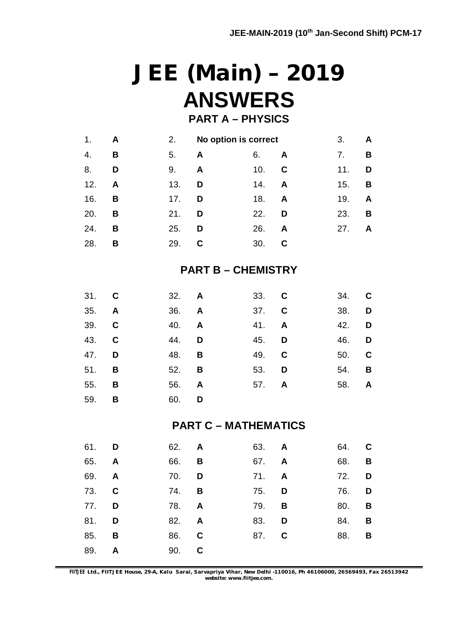# **JEE (Main) – 2019 ANSWERS**

### **PART A – PHYSICS**

| 1.  | A | 2.  | No option is correct |     |              | 3.  | A                       |
|-----|---|-----|----------------------|-----|--------------|-----|-------------------------|
| 4.  | B | 5.  | A                    | 6.  | A            | 7.  | B                       |
| 8.  | D | 9.  | A                    | 10. | C            | 11. | D                       |
| 12. | A | 13. | D                    | 14. | A            | 15. | $\overline{\mathbf{B}}$ |
| 16. | B | 17. | D                    | 18. | $\mathsf{A}$ | 19. | A                       |
| 20. | B | 21. | D                    | 22. | D            | 23. | B                       |
| 24. | B | 25. | D                    | 26. | A            | 27. | A                       |
| 28. | в | 29. | C                    | 30. | С            |     |                         |

### **PART B – CHEMISTRY**

| 31. C        | 32. A        |              | 33. C |              | 34. C                   |
|--------------|--------------|--------------|-------|--------------|-------------------------|
| 35. A        | 36. A        |              | 37. C | 38. D        |                         |
| 39. C        | 40. <b>A</b> |              | 41. A | 42. D        |                         |
| 43. C        | 44. <b>D</b> |              | 45. D | 46. <b>D</b> |                         |
| 47. <b>D</b> | 48. <b>B</b> |              | 49. C | 50.          | <b>C</b>                |
| 51. <b>B</b> | 52. <b>B</b> |              | 53. D |              | 54. <b>B</b>            |
| 55. <b>B</b> | 56.          | $\mathsf{A}$ | 57. A | 58.          | $\overline{\mathsf{A}}$ |
| 59. <b>B</b> | 60. D        |              |       |              |                         |

#### **PART C – MATHEMATICS**

| 61. D        |   | 62. A        |     | 63. A        | 64. C        |  |
|--------------|---|--------------|-----|--------------|--------------|--|
| 65. <b>A</b> |   | 66. <b>B</b> |     | 67. A        | 68. <b>B</b> |  |
| 69. A        |   | 70. <b>D</b> |     | 71. A        | 72. D        |  |
| 73. C        |   | 74. <b>B</b> |     | 75. <b>D</b> | 76. <b>D</b> |  |
| 77. <b>D</b> |   | 78. <b>A</b> |     | 79. <b>B</b> | 80. <b>B</b> |  |
| 81.          | D | 82. A        | 83. | D            | 84. <b>B</b> |  |
| 85. <b>B</b> |   | 86. C        |     | 87. C        | 88. <b>B</b> |  |
| 89.          | A | 90. C        |     |              |              |  |

**FIITJEE** *Ltd., FIITJEE House, 29-A, Kalu Sarai, Sarvapriya Vihar, New Delhi -110016, Ph 46106000, 26569493, Fax 26513942 website: [www.fiitjee.com.](http://www.fiitjee.com.)*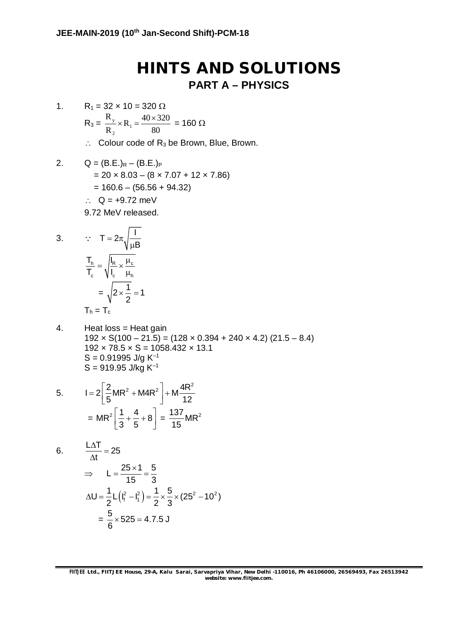## **HINTS AND SOLUTIONS PART A – PHYSICS**

- 1.  $R_1 = 32 \times 10 = 320 \Omega$  $R_3 = \frac{R_y}{R}$ 1 2  $\frac{R_y}{R_x} \times R_1 = \frac{40 \times 320}{80}$  $R_2$   $80$  $\times R_1 = \frac{40 \times 320}{80} = 160 \Omega$ 
	- $\therefore$  Colour code of R<sub>3</sub> be Brown, Blue, Brown.
- 2.  $Q = (B.E.)_R (B.E.)_P$  $= 20 \times 8.03 - (8 \times 7.07 + 12 \times 7.86)$  $= 160.6 - (56.56 + 94.32)$  $\therefore$  Q = +9.72 meV 9.72 MeV released.

3. 
$$
\therefore T = 2\pi \sqrt{\frac{1}{\mu B}}
$$

$$
\frac{T_h}{T_c} = \sqrt{\frac{I_R}{I_c} \times \frac{\mu_c}{\mu_h}}
$$

$$
= \sqrt{2 \times \frac{1}{2}} = 1
$$

$$
T_h = T_c
$$

4. Heat  $loss = Heat gain$  $192 \times S(100 - 21.5) = (128 \times 0.394 + 240 \times 4.2) (21.5 - 8.4)$  $192 \times 78.5 \times S = 1058.432 \times 13.1$  $S = 0.91995$  J/g K<sup>-1</sup>  $S = 919.95$  J/kg K<sup>-1</sup>

5. 
$$
I = 2\left[\frac{2}{5}MR^2 + M4R^2\right] + M\frac{4R^2}{12}
$$

$$
= MR^2\left[\frac{1}{3} + \frac{4}{5} + 8\right] = \frac{137}{15}MR^2
$$

$$
6. \qquad \frac{L\Delta T}{\Delta t} = 25
$$

$$
\Rightarrow L = \frac{25 \times 1}{15} = \frac{5}{3}
$$
  
\n
$$
\Delta U = \frac{1}{2} L (I_f^2 - I_i^2) = \frac{1}{2} \times \frac{5}{3} \times (25^2 - 10^2)
$$
  
\n
$$
= \frac{5}{6} \times 525 = 4.7.5 J
$$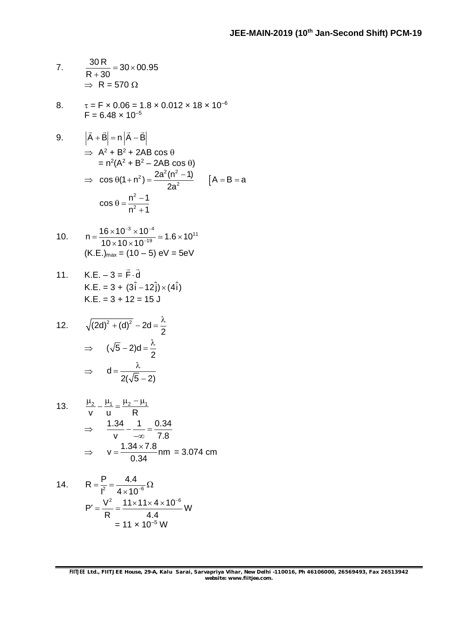7. 
$$
\frac{30 \text{ R}}{\text{R} + 30} = 30 \times 00.95
$$

$$
\Rightarrow \text{R} = 570 \ \Omega
$$

8.  $\tau = F \times 0.06 = 1.8 \times 0.012 \times 18 \times 10^{-6}$  $F = 6.48 \times 10^{-5}$ 

9. 
$$
|\vec{A} + \vec{B}| = n |\vec{A} - \vec{B}|
$$
  
\n $\Rightarrow A^2 + B^2 + 2AB \cos \theta$   
\n $= n^2(A^2 + B^2 - 2AB \cos \theta)$   
\n $\Rightarrow \cos \theta(1 + n^2) = \frac{2a^2(n^2 - 1)}{2a^2}$   $[A = B = a$   
\n $\cos \theta = \frac{n^2 - 1}{n^2 + 1}$ 

10. 
$$
n = \frac{16 \times 10^{-3} \times 10^{-4}}{10 \times 10 \times 10^{-19}} \approx 1.6 \times 10^{11}
$$
  
(K.E.)<sub>max</sub> = (10 – 5) eV = 5eV

11. K.E. 
$$
-3 = \vec{F} \cdot \vec{d}
$$
  
\nK.E.  $= 3 + (3\hat{i} - 12\hat{j}) \times (4\hat{i})$   
\nK.E.  $= 3 + 12 = 15$  J

12. 
$$
\sqrt{(2d)^2 + (d)^2} - 2d = \frac{\lambda}{2}
$$

$$
\Rightarrow (\sqrt{5} - 2)d = \frac{\lambda}{2}
$$

$$
\Rightarrow d = \frac{\lambda}{2(\sqrt{5} - 2)}
$$

13. 
$$
\frac{\mu_2}{v} - \frac{\mu_1}{u} = \frac{\mu_2 - \mu_1}{R}
$$

$$
\Rightarrow \frac{1.34}{v} - \frac{1}{-\infty} = \frac{0.34}{7.8}
$$

$$
\Rightarrow v = \frac{1.34 \times 7.8}{0.34} \text{ nm} = 3.074 \text{ cm}
$$

14. 
$$
R = \frac{P}{l^2} = \frac{4.4}{4 \times 10^{-6}} \Omega
$$

$$
P' = \frac{V^2}{R} = \frac{11 \times 11 \times 4 \times 10^{-6}}{4.4} W
$$

$$
= 11 \times 10^{-5} W
$$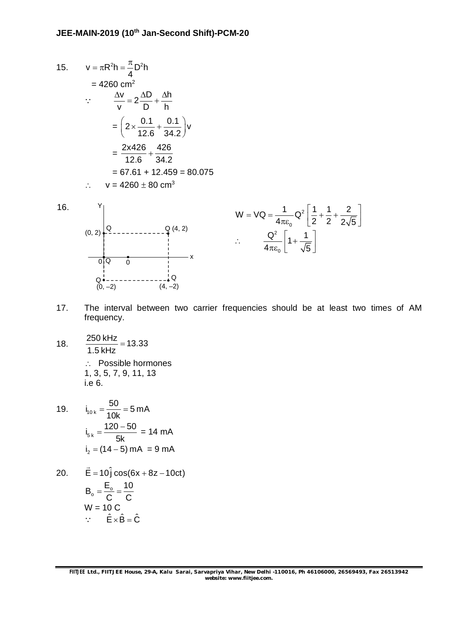15. 
$$
v = \pi R^2 h = \frac{\pi}{4} D^2 h
$$
  
\n= 4260 cm<sup>2</sup>  
\n∴ 
$$
\frac{\Delta v}{v} = 2 \frac{\Delta D}{D} + \frac{\Delta h}{h}
$$
  
\n= 
$$
\left( 2 \times \frac{0.1}{12.6} + \frac{0.1}{34.2} \right) v
$$
  
\n= 
$$
\frac{2 \times 426}{12.6} + \frac{426}{34.2}
$$
  
\n= 67.61 + 12.459 = 80.075  
\n∴ 
$$
v = 4260 \pm 80 \text{ cm}^3
$$



16.

$$
W = VQ = \frac{1}{4\pi\epsilon_0} Q^2 \left[ \frac{1}{2} + \frac{1}{2} + \frac{2}{2\sqrt{5}} \right]
$$

$$
\therefore \qquad \frac{Q^2}{4\pi\epsilon_0} \left[ 1 + \frac{1}{\sqrt{5}} \right]
$$

- 17. The interval between two carrier frequencies should be at least two times of AM frequency.
- 18.  $\frac{250 \text{ kHz}}{1.5 \text{ Hz}} = 13.33$ 1.5 kHz Possible hormones 1, 3, 5, 7, 9, 11, 13 i.e 6.

19. 
$$
i_{10k} = \frac{50}{10k} = 5 \text{ mA}
$$
  
\n $i_{5k} = \frac{120 - 50}{5k} = 14 \text{ mA}$   
\n $i_2 = (14 - 5) \text{ mA} = 9 \text{ mA}$ 

20. 
$$
\vec{E} = 10\hat{j} \cos(6x + 8z - 10ct)
$$
  
\n $B_0 = \frac{E_0}{C} = \frac{10}{C}$   
\n $W = 10 C$   
\n $\therefore \quad \hat{E} \times \hat{B} = \hat{C}$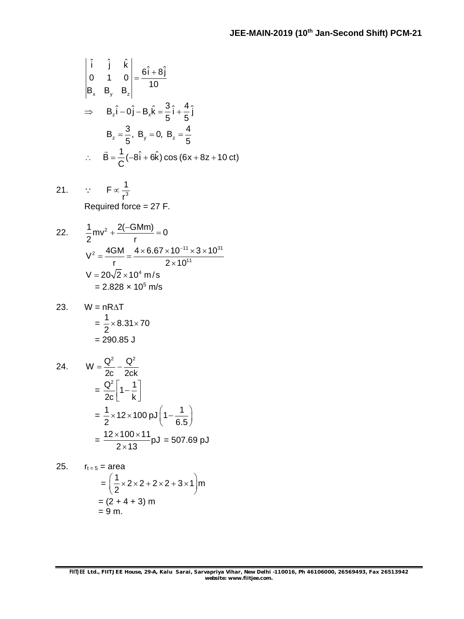$$
\begin{vmatrix} \hat{i} & \hat{j} & \hat{k} \\ 0 & 1 & 0 \\ B_x & B_y & B_z \end{vmatrix} = \frac{6\hat{i} + 8\hat{j}}{10}
$$
  
\n⇒  $B_z\hat{i} - 0\hat{j} - B_x\hat{k} = \frac{3}{5}\hat{i} + \frac{4}{5}\hat{j}$   
\n $B_z = \frac{3}{5}, B_y = 0, B_z = \frac{4}{5}$   
\n∴  $\vec{B} = \frac{1}{C}(-8\hat{i} + 6\hat{k})\cos(6x + 8z + 10 \text{ ct})$ 

21. 
$$
\therefore
$$
  $F \propto \frac{1}{r^3}$   
Required force = 27 F.

22. 
$$
\frac{1}{2}mv^{2} + \frac{2(-GMm)}{r} = 0
$$

$$
V^{2} = \frac{4GM}{r} = \frac{4 \times 6.67 \times 10^{-11} \times 3 \times 10^{31}}{2 \times 10^{11}}
$$

$$
V = 20\sqrt{2} \times 10^{4} m/s
$$

$$
= 2.828 \times 10^{5} m/s
$$

23. 
$$
W = nR\Delta T
$$
  
=  $\frac{1}{2} \times 8.31 \times 70$   
= 290.85 J

24. 
$$
W = \frac{Q^2}{2c} - \frac{Q^2}{2ck}
$$
  
=  $\frac{Q^2}{2c} \left[ 1 - \frac{1}{k} \right]$   
=  $\frac{1}{2} \times 12 \times 100 \text{ pJ} \left( 1 - \frac{1}{6.5} \right)$   
=  $\frac{12 \times 100 \times 11}{2 \times 13} \text{ pJ} = 507.69 \text{ pJ}$ 

25. 
$$
r_{t=5} = area
$$
  
=  $\left(\frac{1}{2} \times 2 \times 2 + 2 \times 2 + 3 \times 1\right)$ m  
=  $(2 + 4 + 3)$  m  
= 9 m.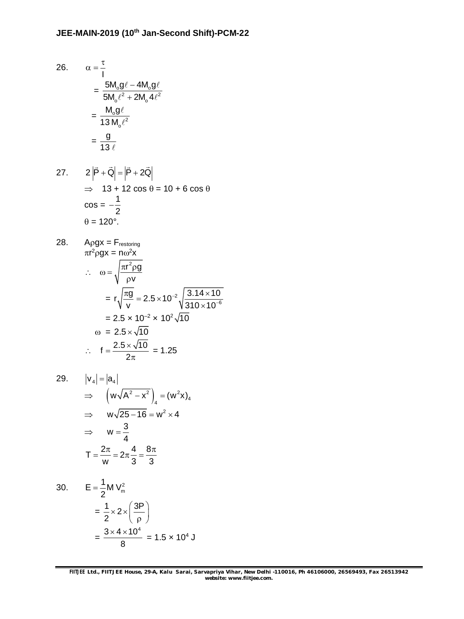26. 
$$
\alpha = \frac{\tau}{I}
$$

$$
= \frac{5M_o g \ell - 4M_o g \ell}{5M_o \ell^2 + 2M_o 4\ell^2}
$$

$$
= \frac{M_o g \ell}{13 M_o \ell^2}
$$

$$
= \frac{g}{13 \ell}
$$

27. 
$$
2|\vec{P} + \vec{Q}| = |\vec{P} + 2\vec{Q}|
$$

$$
\Rightarrow 13 + 12 \cos \theta = 10 + 6 \cos \theta
$$

$$
\cos = -\frac{1}{2}
$$

$$
\theta = 120^{\circ}.
$$

28. 
$$
\text{A}\rho g x = \text{F}_{\text{restoring}}
$$
\n
$$
\pi r^2 \rho g x = n\omega^2 x
$$
\n
$$
\therefore \quad \omega = \sqrt{\frac{\pi r^2 \rho g}{\rho v}}
$$
\n
$$
= r \sqrt{\frac{\pi g}{v}} = 2.5 \times 10^{-2} \sqrt{\frac{3.14 \times 10}{310 \times 10^{-6}}}
$$
\n
$$
= 2.5 \times 10^{-2} \times 10^{2} \sqrt{10}
$$
\n
$$
\omega = 2.5 \times \sqrt{10}
$$
\n
$$
\therefore \quad f = \frac{2.5 \times \sqrt{10}}{2\pi} = 1.25
$$

29. 
$$
|v_4| = |a_4|
$$
  
\n $\Rightarrow$   $(w\sqrt{A^2 - x^2})_4 = (w^2x)_4$   
\n $\Rightarrow$   $w\sqrt{25 - 16} = w^2 \times 4$   
\n $\Rightarrow$   $w = \frac{3}{4}$   
\n $T = \frac{2\pi}{w} = 2\pi \frac{4}{3} = \frac{8\pi}{3}$ 

30. 
$$
E = \frac{1}{2} M V_m^2
$$

$$
= \frac{1}{2} \times 2 \times \left(\frac{3P}{\rho}\right)
$$

$$
= \frac{3 \times 4 \times 10^4}{8} = 1.5 \times 10^4 J
$$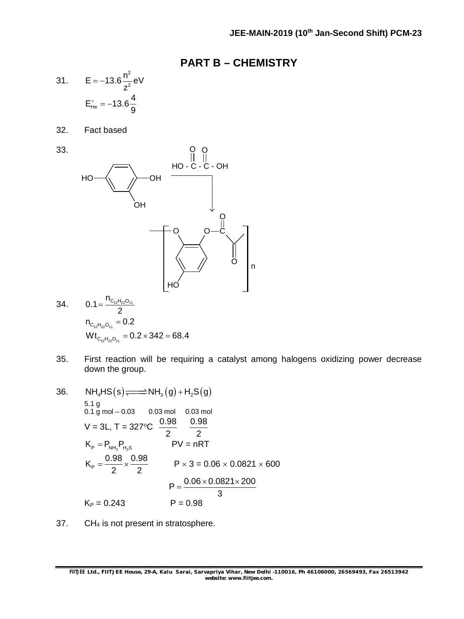#### **PART B – CHEMISTRY**

31. 
$$
E = -13.6 \frac{n^2}{z^2} eV
$$
  
 $E_{He}^{+} = -13.6 \frac{4}{9}$ 

32. Fact based

33.



34. 
$$
0.1 = \frac{n_{C_{12}H_{22}O_{11}}}{2}
$$

$$
n_{C_{12}H_{22}O_{11}} = 0.2
$$

$$
Wt_{C_{12}H_{22}O_{11}} = 0.2 \times 342 = 68.4
$$

- 35. First reaction will be requiring a catalyst among halogens oxidizing power decrease down the group.
- 36.  $NH_4HS(s) \rightleftharpoons NH_3(g) + H_2S(g)$ 5.1 g  $0.1 g$  mol – 0.03 0.03 mol 0.03 mol  $V = 3L$ , T = 327°C  $\frac{0.98}{0.96}$ 2 0.98  $\overline{2}$   $\overline{2}$ <br>PV = nRT  $K_{\rm P} = P_{\rm NH_3} P_{\rm H_2S}$  PV = nRT  $K_{\rm p} = \frac{0.98}{2} \times \frac{0.98}{2}$ 2 2  $P \times 3 = 0.06 \times 0.0821 \times 600$  $P = \frac{0.06 \times 0.0821 \times 200}{2}$  $\overline{3}$  $K_P = 0.243$  P = 0.98
- 37. CH $_4$  is not present in stratosphere.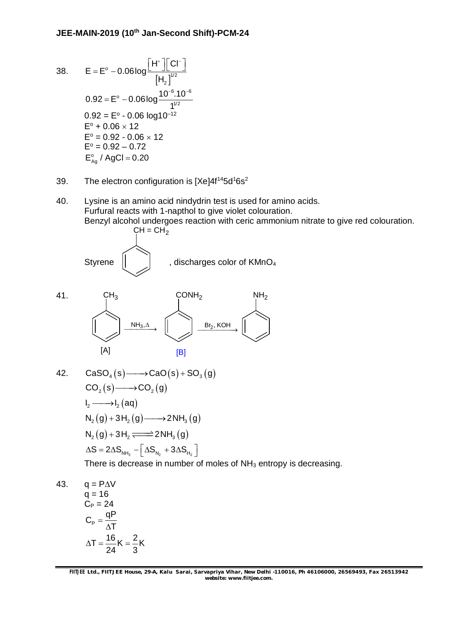38. 
$$
E = E^{\circ} - 0.06 \log \frac{|H^*||Cl^-|}{|H_2|^{1/2}}
$$
  
\n
$$
0.92 = E^{\circ} - 0.06 \log \frac{10^{-6} .10^{-6}}{1^{1/2}}
$$
  
\n
$$
0.92 = E^{\circ} - 0.06 \log 10^{-12}
$$
  
\n
$$
E^{\circ} + 0.06 \times 12
$$
  
\n
$$
E^{\circ} = 0.92 - 0.06 \times 12
$$
  
\n
$$
E^{\circ} = 0.92 - 0.72
$$
  
\n
$$
E^{\circ}_{Ag} / AgCl = 0.20
$$

- 39. The electron configuration is  $[Xe]4f^{14}5d^{1}6s^2$
- 40. Lysine is an amino acid nindydrin test is used for amino acids. Furfural reacts with 1-napthol to give violet colouration. Benzyl alcohol undergoes reaction with ceric ammonium nitrate to give red colouration.





42. 
$$
CaSO_{4}(s) \longrightarrow CaO(s) + SO_{3}(g)
$$

$$
CO_{2}(s) \longrightarrow CO_{2}(g)
$$

$$
I_{2} \longrightarrow I_{2}(aq)
$$

$$
N_{2}(g) + 3H_{2}(g) \longrightarrow 2NH_{3}(g)
$$

$$
N_{2}(g) + 3H_{2} \longrightarrow 2NH_{3}(g)
$$

$$
\Delta S = 2\Delta S_{NH_{3}} - [\Delta S_{N_{2}} + 3\Delta S_{H_{2}}]
$$
There is decrease in number of moles of NH<sub>3</sub> entropy is decreasing.

43.  $q = P\Delta V$  $q = 16$  $C_P = 24$  $C_{\rm p} = \frac{\text{qP}}{4\tau}$ T  $T = \frac{16}{34}K = \frac{2}{3}K$ 24 3  $=$  $\Delta$  $\Delta T = \frac{16}{24}$ K =  $\frac{1}{2}$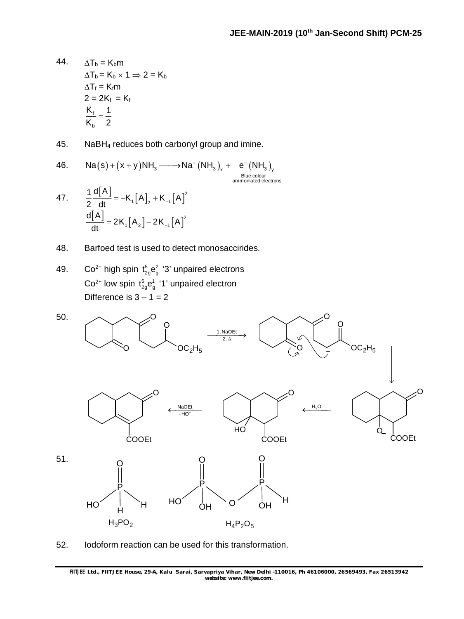- 44.  $\Delta T_b = K_b m$  $\Delta T_b = K_b \times 1 \Rightarrow 2 = K_b$  $\Delta T_f = K_f m$  $2 = 2K_f = K_f$ f b  $K_{\scriptscriptstyle\rm f}$  1  $K_{h}$  2  $=$
- 45. NaBH<sup>4</sup> reduces both carbonyl group and imine.

46. Na(s) + (x + y)NH<sub>3</sub> 
$$
\longrightarrow
$$
 Na<sup>+</sup> (NH<sub>3</sub>)<sub>x</sub> +  $e^{-}$  (NH<sub>3</sub>)<sub>y</sub><sub>y</sub>  
Blue colour  
ammoniated electrons

- 47.  $\frac{1}{2} \frac{d[A]}{dt} = -K_1[A]_2 + K_{-1}[A]^2$ 1  $\binom{1}{2}$   $\binom{1}{-1}$  $\frac{1}{2}$  d[A] = -K<sub>1</sub>[A] + K<sub>-1</sub>[A  $\frac{1}{2}$  dt = -K<sub>1</sub>  $[A]_2 + K_1$ |A|  $[A_2]$  – 2K<sub>-1</sub> $[A]^2$ 1  $\binom{1}{2}$   $\binom{2}{1}$ d[A  $2K_1[A_2] - 2K_{-1}[A]$  $\frac{L}{dt}$  = 2K<sub>1</sub>  $[A_2]$  – 2K<sub>-</sub>
- 48. Barfoed test is used to detect monosaccirides.
- 49. Co<sup>2+</sup> high spin  $t_{2g}^5$ e $_g^2$  '3' unpaired electrons  $Co^{2+}$  low spin  $t_{2g}^{6}e_{g}^{1}$  '1' unpaired electron Difference is  $3 - 1 = 2$



52. Iodoform reaction can be used for this transformation.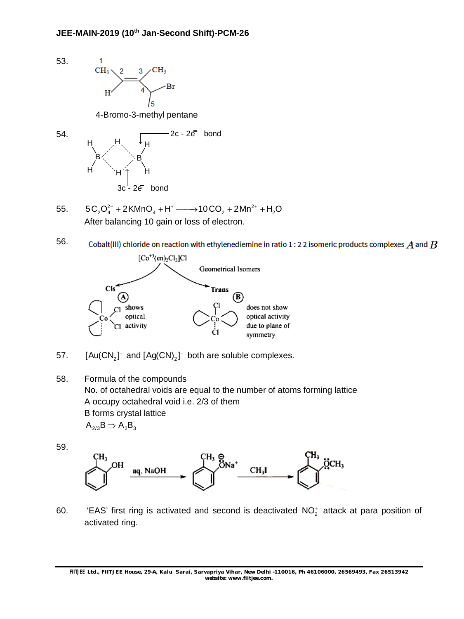

57.  $[Au(CN_2]^-$  and  $[Ag(CN)_2]^-$  both are soluble complexes.

58. Formula of the compounds No. of octahedral voids are equal to the number of atoms forming lattice A occupy octahedral void i.e. 2/3 of them B forms crystal lattice  $A_{2/3}B \Rightarrow A_2B_3$ 

59.



60. 
'EAS' first ring is activated and second is deactivated  $NO_2^+$  attack at para position of activated ring.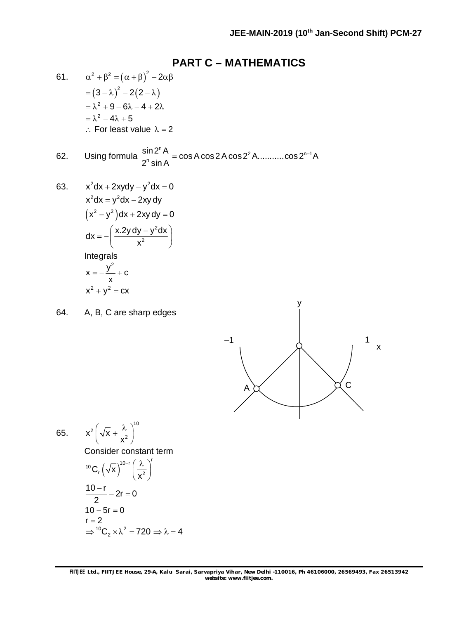### **PART C – MATHEMATICS**

61. 
$$
\alpha^2 + \beta^2 = (\alpha + \beta)^2 - 2\alpha\beta
$$

$$
= (3 - \lambda)^2 - 2(2 - \lambda)
$$

$$
= \lambda^2 + 9 - 6\lambda - 4 + 2\lambda
$$

$$
= \lambda^2 - 4\lambda + 5
$$

$$
\therefore \text{ For least value } \lambda = 2
$$

62. Using formula 
$$
\frac{\sin 2^n A}{2^n \sin A} = \cos A \cos 2A \cos 2^2 A \dots \dots \dots \cos 2^{n-1} A
$$

63. 
$$
x^{2}dx + 2xydy - y^{2}dx = 0
$$

$$
x^{2}dx = y^{2}dx - 2xy dy
$$

$$
(x^{2} - y^{2})dx + 2xy dy = 0
$$

$$
dx = -\left(\frac{x.2y dy - y^{2}dx}{x^{2}}\right)
$$
Integrals

$$
x = -\frac{y}{x} + c
$$

$$
x2 + y2 = cx
$$

64. A, B, C are sharp edges



65. 
$$
x^{2} \left(\sqrt{x} + \frac{\lambda}{x^{2}}\right)^{10}
$$
  
Consider constant term  

$$
{}^{10}C_{r} \left(\sqrt{x}\right)^{10-r} \left(\frac{\lambda}{x^{2}}\right)^{r}
$$

$$
\frac{10-r}{2} - 2r = 0
$$

$$
10 - 5r = 0
$$

$$
r = 2
$$

$$
\Rightarrow {}^{10}C_{2} \times \lambda^{2} = 720 \Rightarrow \lambda = 4
$$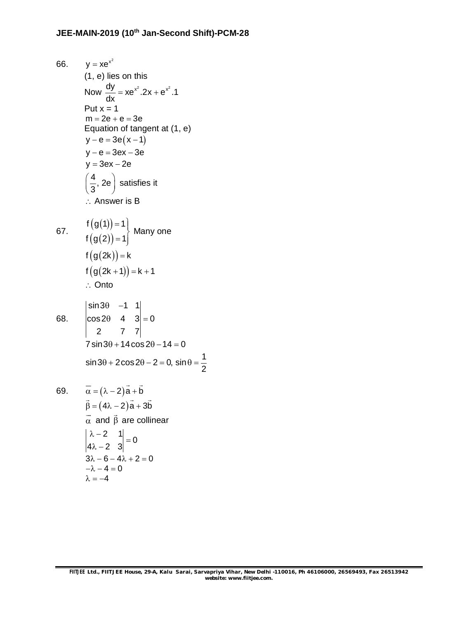66.  $y = xe^{x^2}$ (1, e) lies on this Now  $\frac{dy}{dx} = xe^{x^2}.2x + e^{x^2}.1$ dx  $= xe^{x}$ .2x +  $e$ Put  $x = 1$  $m = 2e + e = 3e$ Equation of tangent at (1, e)  $y - e = 3e(x - 1)$  $y - e = 3ex - 3e$  $y = 3ex - 2e$  $\frac{4}{6}$ , 2e  $\left(\frac{4}{3}, 2$ e $\right)$  satisfies it  $\therefore$  Answer is B 67.  $(g(1))$  $(g(2))$ f  $(g(1)) = 1$ f (g(2)) = 1|  $=1$  $=1$ Many one  $f(g(2k)) = k$  $f(g(2k + 1)) = k + 1$ ∴ Onto 68. sin3 $\theta$  -1 1  $\cos 2\theta$  4 3 = 0 2 7 7  $\theta$  -1  $\begin{bmatrix} 0 & 4 & 3 \end{bmatrix} = 0$  $7 \sin 3\theta + 14 \cos 2\theta - 14 = 0$  $\sin 3\theta + 2\cos 2\theta - 2 = 0$ ,  $\sin \theta = \frac{1}{2}$ 2  $\theta$  + 2 cos 2 $\theta$  – 2 = 0, sin  $\theta$  = -69.  $\alpha = (\lambda - 2)a + b$  $\rightarrow$  $\beta = (4\lambda - 2)a + 3b$  $\rightarrow$   $\rightarrow$   $\rightarrow$   $\rightarrow$   $\rightarrow$  $\alpha$  $\overline{\phantom{a}}$ and  $\beta$  $\overline{\phantom{a}}$ are collinear  $\begin{vmatrix} 2 & 1 \\ 2 & 0 \end{vmatrix} = 0$  $4\lambda - 2$  3  $\begin{vmatrix} \lambda - 2 & 1 \\ 1 & 2 \end{vmatrix} =$  $\lambda - 2$  $3\lambda - 6 - 4\lambda + 2 = 0$  $-\lambda - 4 = 0$  $\lambda = -4$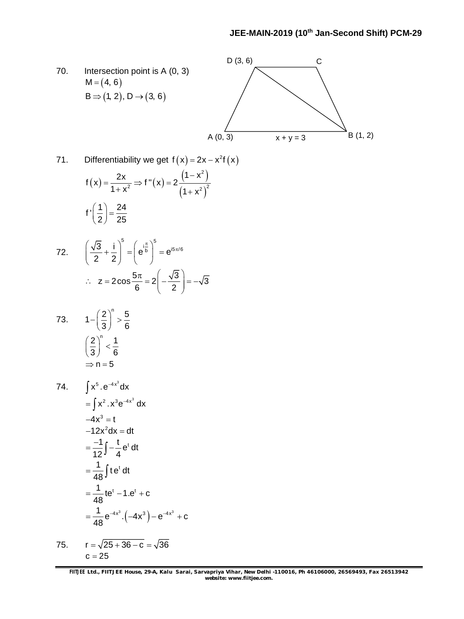

71. Differentiability we get 
$$
f(x) = 2x - x^2f(x)
$$

$$
f(x) = \frac{2x}{1 + x^2} \Rightarrow f''(x) = 2 \frac{(1 - x^2)}{(1 + x^2)^2}
$$
  

$$
f'\left(\frac{1}{2}\right) = \frac{24}{25}
$$

72. 
$$
\left(\frac{\sqrt{3}}{2} + \frac{i}{2}\right)^5 = \left(e^{\frac{i\pi}{b}}\right)^5 = e^{i5\pi/6}
$$
  
\n $\therefore z = 2\cos\frac{5\pi}{6} = 2\left(-\frac{\sqrt{3}}{2}\right) = -\sqrt{3}$ 

$$
73. \qquad 1 - \left(\frac{2}{3}\right)^n > \frac{5}{6}
$$

$$
\left(\frac{2}{3}\right)^n < \frac{1}{6}
$$

$$
\Rightarrow n = 5
$$

74. 
$$
\int x^{5} \cdot e^{-4x^{3}} dx
$$
  
\n
$$
= \int x^{2} \cdot x^{3} e^{-4x^{3}} dx
$$
  
\n
$$
-4x^{3} = t
$$
  
\n
$$
-12x^{2} dx = dt
$$
  
\n
$$
= \frac{-1}{12} \int -\frac{t}{4} e^{t} dt
$$
  
\n
$$
= \frac{1}{48} \int t e^{t} dt
$$
  
\n
$$
= \frac{1}{48} t e^{t} - 1 \cdot e^{t} + c
$$
  
\n
$$
= \frac{1}{48} e^{-4x^{3}} \cdot (-4x^{3}) - e^{-4x^{3}} + c
$$

75. 
$$
r = \sqrt{25 + 36 - c} = \sqrt{36}
$$
  
 $c = 25$ 

**FIITJEE** *Ltd., FIITJEE House, 29-A, Kalu Sarai, Sarvapriya Vihar, New Delhi -110016, Ph 46106000, 26569493, Fax 26513942 website: [www.fiitjee.com.](http://www.fiitjee.com.)*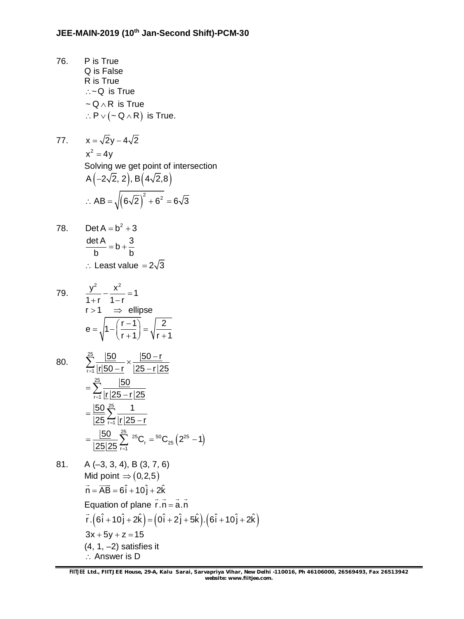76. P is True Q is False R is True  $\therefore$   $\sim$  Q is True  $\sim$  Q  $\land$  R is True  $\therefore P \vee (\sim Q \wedge R)$  is True.

77. 
$$
x = \sqrt{2}y - 4\sqrt{2}
$$
  
\n $x^2 = 4y$   
\nSolving we get point of intersection  
\nA  $\left(-2\sqrt{2}, 2\right), B\left(4\sqrt{2}, 8\right)$   
\n∴ AB =  $\sqrt{\left(6\sqrt{2}\right)^2 + 6^2} = 6\sqrt{3}$ 

78. Det A = b<sup>2</sup> + 3  
\n
$$
\frac{\text{det A}}{\text{b}} = \text{b} + \frac{3}{\text{b}}
$$
\n∴ Least value = 2√3

79. 
$$
\frac{y^2}{1+r} - \frac{x^2}{1-r} = 1
$$

$$
r > 1 \implies \text{ellipse}
$$

$$
e = \sqrt{1 - \left(\frac{r-1}{r+1}\right)} = \sqrt{\frac{2}{r+1}}
$$

80. 
$$
\sum_{r=1}^{25} \frac{|50|}{|r|50-r} \times \frac{|50-r|}{|25-r|25}
$$

$$
= \sum_{r=1}^{25} \frac{|50|}{|r|25-r|25}
$$

$$
= \frac{|50|}{|25|25} \sum_{r=1}^{25} \frac{1}{|r|25-r}
$$

$$
= \frac{|50|}{|25|25} \sum_{r=1}^{25} {}^{25}C_r = {}^{50}C_{25} (2^{25} - 1)
$$

81. A (–3, 3, 4), B (3, 7, 6) Mid point  $\Rightarrow$  (0,2,5)  $\vec{n} = \vec{AB} = 6\hat{i} + 10\hat{j} + 2\hat{k}$ Equation of plane  $r.n = a.n$  $\frac{1}{2}$   $\frac{1}{2}$   $\frac{1}{2}$   $\frac{1}{2}$   $\frac{1}{2}$   $\frac{1}{2}$  $\vec{r}$   $(6\hat{i} + 10\hat{j} + 2\hat{k}) = (0\hat{i} + 2\hat{j} + 5\hat{k}) \cdot (6\hat{i} + 10\hat{j} + 2\hat{k})$  $3x + 5y + z = 15$  $(4, 1, -2)$  satisfies it  $\therefore$  Answer is D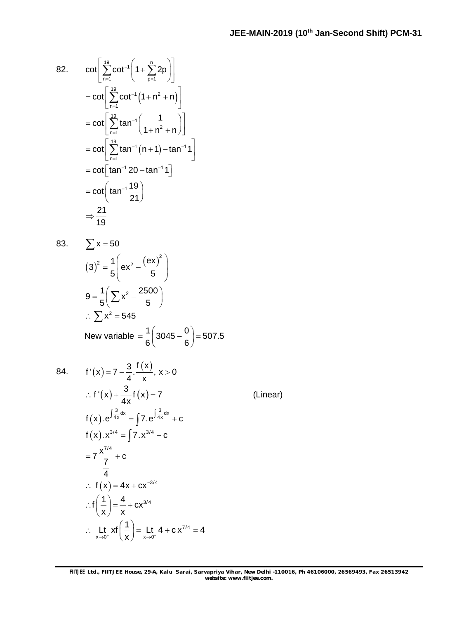82. 
$$
\cot\left[\sum_{n=1}^{19} \cot^{-1}\left(1 + \sum_{p=1}^{n} 2p\right)\right]
$$

$$
= \cot\left[\sum_{n=1}^{19} \cot^{-1}\left(1 + n^2 + n\right)\right]
$$

$$
= \cot\left[\sum_{n=1}^{19} \tan^{-1}\left(\frac{1}{1 + n^2 + n}\right)\right]
$$

$$
= \cot\left[\sum_{n=1}^{19} \tan^{-1}\left(n + 1\right) - \tan^{-1}1\right]
$$

$$
= \cot\left[\tan^{-1} 20 - \tan^{-1}1\right]
$$

$$
= \cot\left(\tan^{-1}\frac{19}{21}\right)
$$

$$
\Rightarrow \frac{21}{19}
$$

$$
\sum x = 50
$$
  
\n
$$
(3)^{2} = \frac{1}{5} \left( e x^{2} - \frac{(e x)^{2}}{5} \right)
$$
  
\n
$$
9 = \frac{1}{5} \left( \sum x^{2} - \frac{2500}{5} \right)
$$
  
\n
$$
\therefore \sum x^{2} = 545
$$
  
\nNew variable  $= \frac{1}{6} \left( 3045 - \frac{0}{6} \right) = 507.5$ 

84.

f'(x) = 7 - 
$$
\frac{3}{4}
$$
.  $\frac{f(x)}{x}$ , x > 0  
\n $\therefore$  f'(x) +  $\frac{3}{4x}$ f(x) = 7  
\nf(x). $e^{\int \frac{3}{4x} dx} = \int 7 \cdot e^{\int \frac{3}{4x} dx} + c$   
\nf(x). $x^{3/4} = \int 7 \cdot x^{3/4} + c$   
\n $= 7 \frac{x^{7/4}}{7} + c$   
\n $\therefore$  f(x) = 4x + cx^{-3/4}  
\n $\therefore$  f $\left(\frac{1}{x}\right) = \frac{4}{x} + cx^{3/4}$   
\n $\therefore$  Lt<sub>x→0<sup>+</sup></sub> xf $\left(\frac{1}{x}\right) = \frac{L}{x \rightarrow 0+} 4 + cx^{7/4} = 4$ 

(Linear)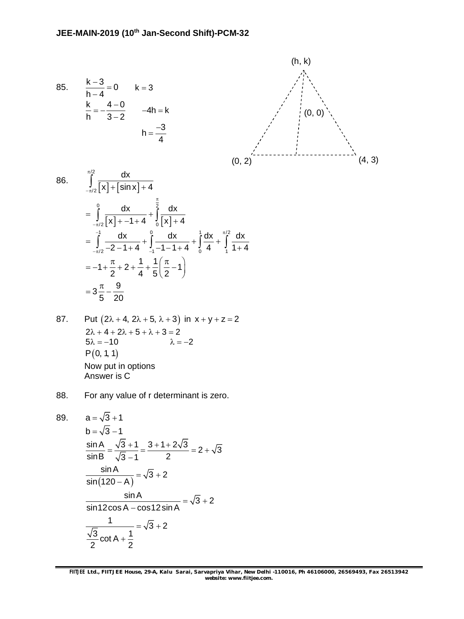85. 
$$
\frac{k-3}{h-4} = 0 \qquad k = 3
$$

$$
\frac{k}{h} = -\frac{4-0}{3-2} \qquad -4h = k
$$

$$
h = \frac{-3}{4}
$$



86. 
$$
\int_{-\pi/2}^{\pi/2} \frac{dx}{[x] + [\sin x] + 4}
$$
  
\n
$$
= \int_{-\pi/2}^{0} \frac{dx}{[x] + -1 + 4} + \int_{0}^{\pi/2} \frac{dx}{[x] + 4}
$$
  
\n
$$
= \int_{-\pi/2}^{-1} \frac{dx}{-2 - 1 + 4} + \int_{-1}^{0} \frac{dx}{-1 - 1 + 4} + \int_{0}^{\pi/2} \frac{dx}{4} + \int_{1}^{\pi/2} \frac{dx}{1 + 4}
$$
  
\n
$$
= -1 + \frac{\pi}{2} + 2 + \frac{1}{4} + \frac{1}{5} (\frac{\pi}{2} - 1)
$$
  
\n
$$
= 3\frac{\pi}{5} - \frac{9}{20}
$$

87. Put 
$$
(2\lambda + 4, 2\lambda + 5, \lambda + 3)
$$
 in  $x + y + z = 2$   
\n $2\lambda + 4 + 2\lambda + 5 + \lambda + 3 = 2$   
\n $5\lambda = -10$   $\lambda = -2$   
\n $P(0, 1, 1)$   
\nNow put in options  
\nAnswer is C

88. For any value of r determinant is zero.

89. 
$$
a = \sqrt{3} + 1
$$
  
\n
$$
b = \sqrt{3} - 1
$$
  
\n
$$
\frac{\sin A}{\sin B} = \frac{\sqrt{3} + 1}{\sqrt{3} - 1} = \frac{3 + 1 + 2\sqrt{3}}{2} = 2 + \sqrt{3}
$$
  
\n
$$
\frac{\sin A}{\sin(120 - A)} = \sqrt{3} + 2
$$
  
\n
$$
\frac{\sin A}{\sin 12 \cos A - \cos 12 \sin A} = \sqrt{3} + 2
$$
  
\n
$$
\frac{1}{\sqrt{3} \cot A + \frac{1}{2}} = \sqrt{3} + 2
$$